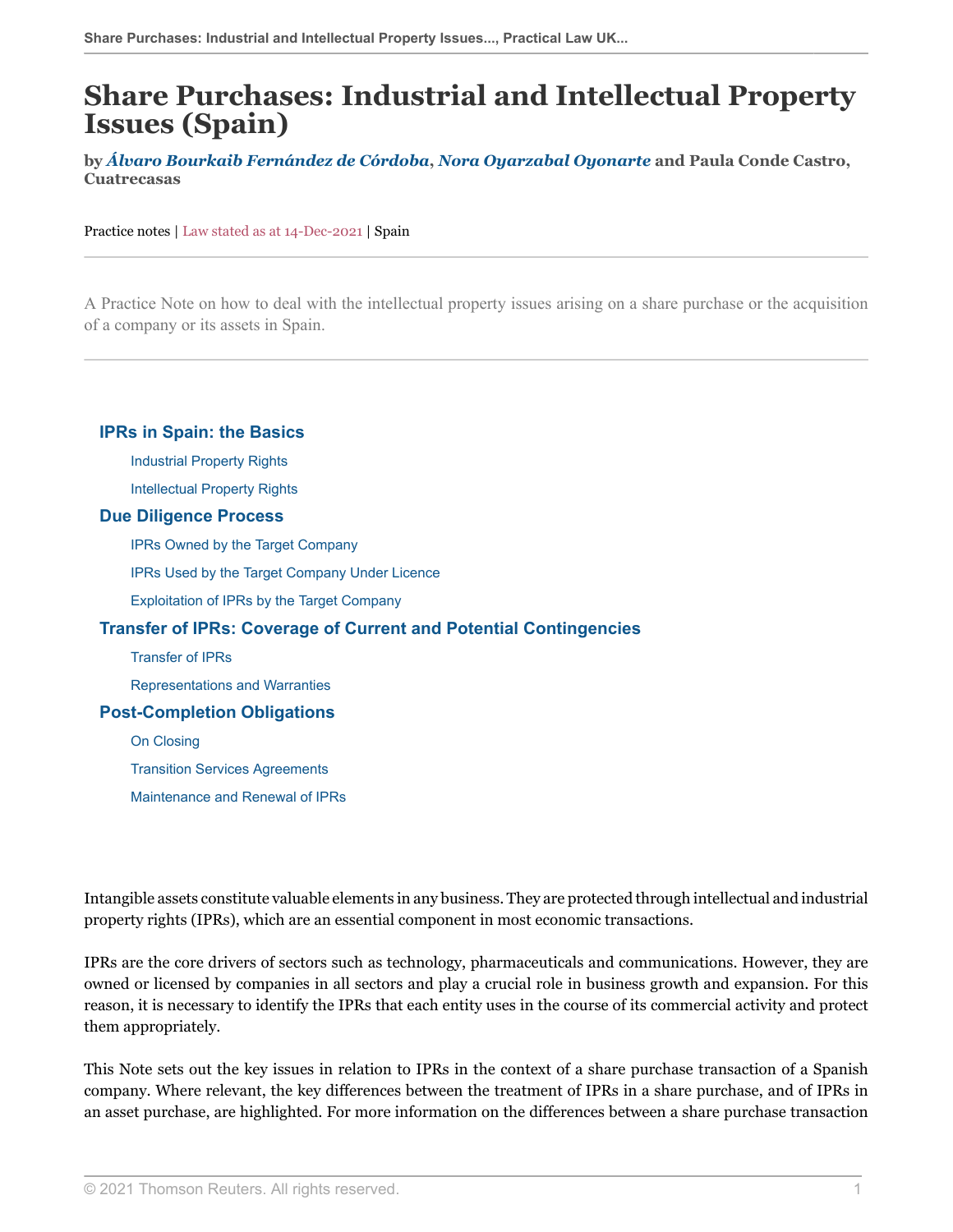# **Share Purchases: Industrial and Intellectual Property Issues (Spain)**

**by** *[Álvaro Bourkaib Fernández de Córdoba](https://www.cuatrecasas.com/lawyer/alvaro_bourkaib.html )***,** *[Nora Oyarzabal Oyonarte](https://www.cuatrecasas.com/lawyer/nora_oyarzabal.html )* **and Paula Conde Castro, Cuatrecasas**

Practice notes | Law stated as at 14-Dec-2021 | Spain

A Practice Note on how to deal with the intellectual property issues arising on a share purchase or the acquisition of a company or its assets in Spain.

#### **[IPRs in Spain: the Basics](#page-1-0)**

[Industrial Property Rights](#page-2-0)

[Intellectual Property Rights](#page-5-0)

#### **[Due Diligence Process](#page-6-0)**

[IPRs Owned by the Target Company](#page-7-0)

[IPRs Used by the Target Company Under Licence](#page-11-0)

[Exploitation of IPRs by the Target Company](#page-14-0)

#### **[Transfer of IPRs: Coverage of Current and Potential Contingencies](#page-15-0)**

[Transfer of IPRs](#page-15-1)

[Representations and Warranties](#page-15-2)

#### **[Post-Completion Obligations](#page-17-0)**

[On Closing](#page-17-1)

[Transition Services Agreements](#page-17-2)

[Maintenance and Renewal of IPRs](#page-17-3)

Intangible assets constitute valuable elements in any business. They are protected through intellectual and industrial property rights (IPRs), which are an essential component in most economic transactions.

IPRs are the core drivers of sectors such as technology, pharmaceuticals and communications. However, they are owned or licensed by companies in all sectors and play a crucial role in business growth and expansion. For this reason, it is necessary to identify the IPRs that each entity uses in the course of its commercial activity and protect them appropriately.

This Note sets out the key issues in relation to IPRs in the context of a share purchase transaction of a Spanish company. Where relevant, the key differences between the treatment of IPRs in a share purchase, and of IPRs in an asset purchase, are highlighted. For more information on the differences between a share purchase transaction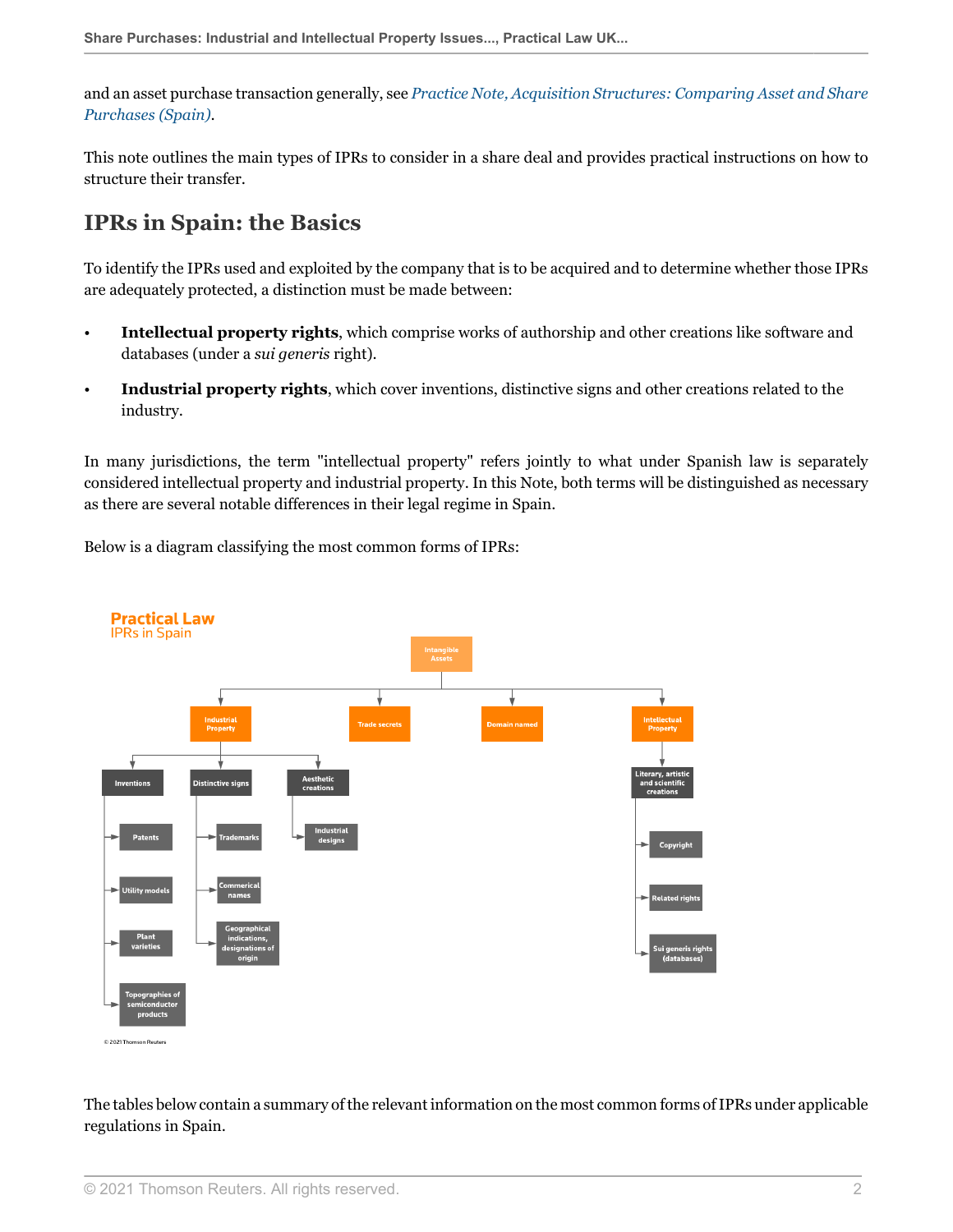and an asset purchase transaction generally, see *[Practice Note, Acquisition Structures: Comparing Asset and Share](http://uk.practicallaw.thomsonreuters.com/w-026-6548?originationContext=document&vr=3.0&rs=PLUK1.0&transitionType=DocumentItem&contextData=(sc.Default)) [Purchases \(Spain\)](http://uk.practicallaw.thomsonreuters.com/w-026-6548?originationContext=document&vr=3.0&rs=PLUK1.0&transitionType=DocumentItem&contextData=(sc.Default))*.

This note outlines the main types of IPRs to consider in a share deal and provides practical instructions on how to structure their transfer.

## <span id="page-1-0"></span>**IPRs in Spain: the Basics**

To identify the IPRs used and exploited by the company that is to be acquired and to determine whether those IPRs are adequately protected, a distinction must be made between:

- **Intellectual property rights**, which comprise works of authorship and other creations like software and databases (under a *sui generis* right).
- **Industrial property rights**, which cover inventions, distinctive signs and other creations related to the industry.

In many jurisdictions, the term "intellectual property" refers jointly to what under Spanish law is separately considered intellectual property and industrial property. In this Note, both terms will be distinguished as necessary as there are several notable differences in their legal regime in Spain.

Below is a diagram classifying the most common forms of IPRs:



The tables below contain a summary of the relevant information on the most common forms of IPRs under applicable regulations in Spain.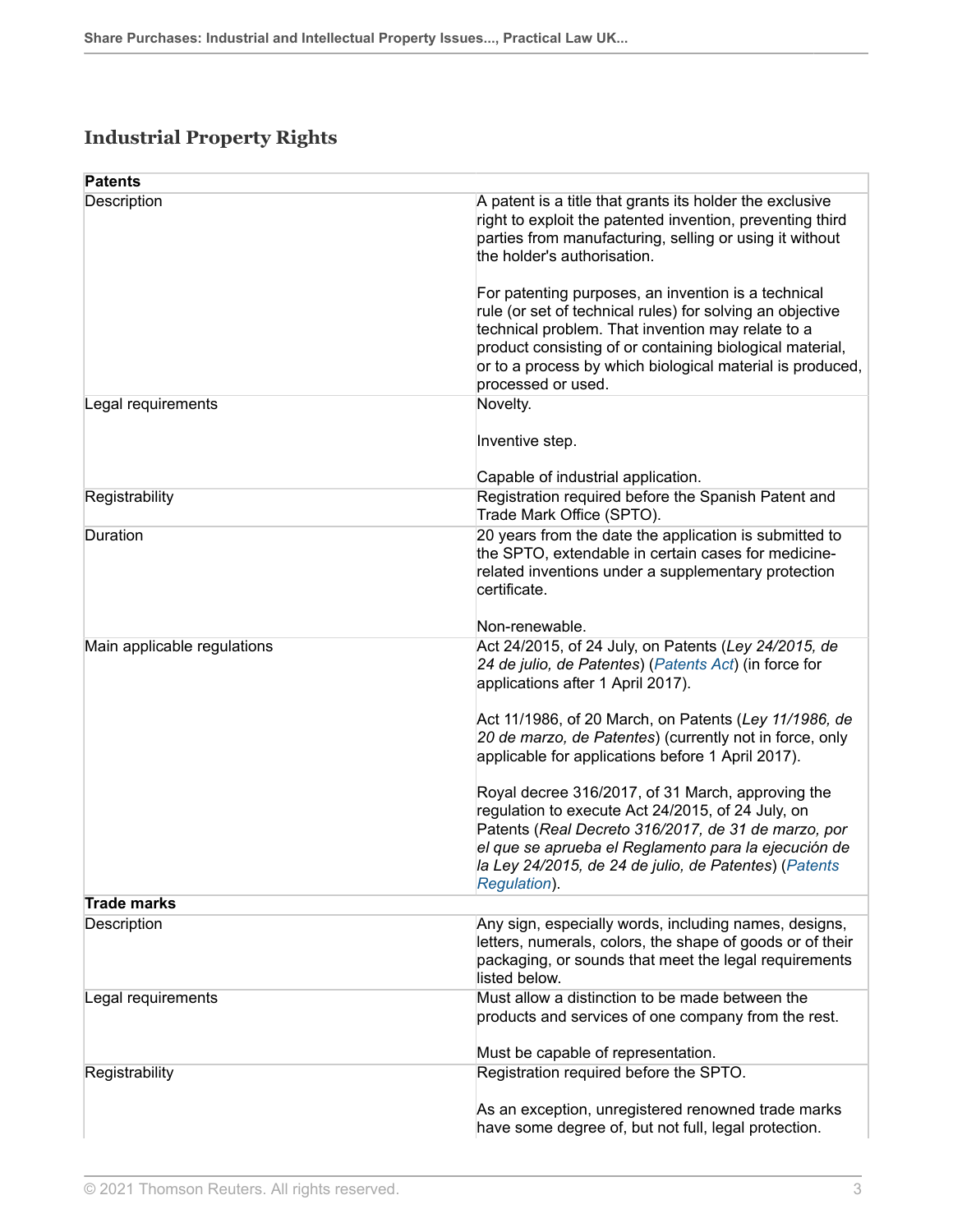## <span id="page-2-0"></span>**Industrial Property Rights**

| <b>Patents</b>              |                                                                                                                                                                                                                                                                                                                                     |
|-----------------------------|-------------------------------------------------------------------------------------------------------------------------------------------------------------------------------------------------------------------------------------------------------------------------------------------------------------------------------------|
| Description                 | A patent is a title that grants its holder the exclusive<br>right to exploit the patented invention, preventing third<br>parties from manufacturing, selling or using it without<br>the holder's authorisation.<br>For patenting purposes, an invention is a technical<br>rule (or set of technical rules) for solving an objective |
|                             | technical problem. That invention may relate to a                                                                                                                                                                                                                                                                                   |
|                             | product consisting of or containing biological material,<br>or to a process by which biological material is produced,<br>processed or used.                                                                                                                                                                                         |
| Legal requirements          | Novelty.                                                                                                                                                                                                                                                                                                                            |
|                             | Inventive step.                                                                                                                                                                                                                                                                                                                     |
|                             | Capable of industrial application.                                                                                                                                                                                                                                                                                                  |
| Registrability              | Registration required before the Spanish Patent and<br>Trade Mark Office (SPTO).                                                                                                                                                                                                                                                    |
| Duration                    | 20 years from the date the application is submitted to<br>the SPTO, extendable in certain cases for medicine-<br>related inventions under a supplementary protection<br>certificate.                                                                                                                                                |
|                             | Non-renewable.                                                                                                                                                                                                                                                                                                                      |
| Main applicable regulations | Act 24/2015, of 24 July, on Patents (Ley 24/2015, de<br>24 de julio, de Patentes) (Patents Act) (in force for<br>applications after 1 April 2017).                                                                                                                                                                                  |
|                             | Act 11/1986, of 20 March, on Patents (Ley 11/1986, de<br>20 de marzo, de Patentes) (currently not in force, only<br>applicable for applications before 1 April 2017).                                                                                                                                                               |
|                             | Royal decree 316/2017, of 31 March, approving the<br>regulation to execute Act 24/2015, of 24 July, on<br>Patents (Real Decreto 316/2017, de 31 de marzo, por<br>el que se aprueba el Reglamento para la ejecución de<br>la Ley 24/2015, de 24 de julio, de Patentes) (Patents<br>Regulation).                                      |
| <b>Trade marks</b>          |                                                                                                                                                                                                                                                                                                                                     |
| Description                 | Any sign, especially words, including names, designs,<br>letters, numerals, colors, the shape of goods or of their<br>packaging, or sounds that meet the legal requirements<br>listed below.                                                                                                                                        |
| Legal requirements          | Must allow a distinction to be made between the<br>products and services of one company from the rest.<br>Must be capable of representation.                                                                                                                                                                                        |
| Registrability              | Registration required before the SPTO.                                                                                                                                                                                                                                                                                              |
|                             |                                                                                                                                                                                                                                                                                                                                     |
|                             | As an exception, unregistered renowned trade marks<br>have some degree of, but not full, legal protection.                                                                                                                                                                                                                          |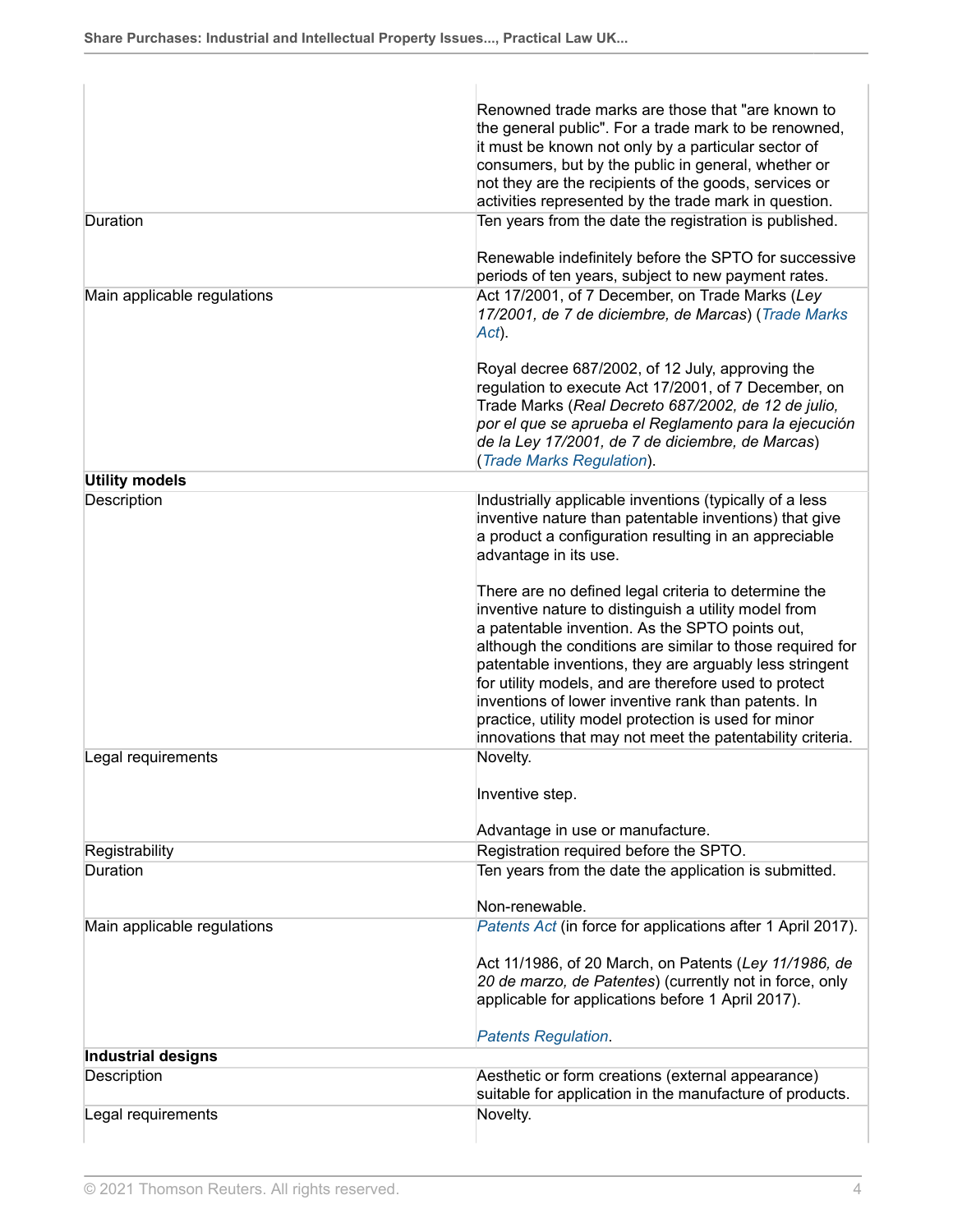|                             | Renowned trade marks are those that "are known to<br>the general public". For a trade mark to be renowned,<br>it must be known not only by a particular sector of<br>consumers, but by the public in general, whether or<br>not they are the recipients of the goods, services or<br>activities represented by the trade mark in question.                                                                                                                                                                                   |
|-----------------------------|------------------------------------------------------------------------------------------------------------------------------------------------------------------------------------------------------------------------------------------------------------------------------------------------------------------------------------------------------------------------------------------------------------------------------------------------------------------------------------------------------------------------------|
| Duration                    | Ten years from the date the registration is published.<br>Renewable indefinitely before the SPTO for successive                                                                                                                                                                                                                                                                                                                                                                                                              |
| Main applicable regulations | periods of ten years, subject to new payment rates.<br>Act 17/2001, of 7 December, on Trade Marks (Ley<br>17/2001, de 7 de diciembre, de Marcas) (Trade Marks<br>Act).                                                                                                                                                                                                                                                                                                                                                       |
|                             | Royal decree 687/2002, of 12 July, approving the<br>regulation to execute Act 17/2001, of 7 December, on<br>Trade Marks (Real Decreto 687/2002, de 12 de julio,<br>por el que se aprueba el Reglamento para la ejecución<br>de la Ley 17/2001, de 7 de diciembre, de Marcas)<br>(Trade Marks Regulation).                                                                                                                                                                                                                    |
| <b>Utility models</b>       |                                                                                                                                                                                                                                                                                                                                                                                                                                                                                                                              |
| Description                 | Industrially applicable inventions (typically of a less<br>inventive nature than patentable inventions) that give<br>a product a configuration resulting in an appreciable<br>advantage in its use.                                                                                                                                                                                                                                                                                                                          |
|                             | There are no defined legal criteria to determine the<br>inventive nature to distinguish a utility model from<br>a patentable invention. As the SPTO points out,<br>although the conditions are similar to those required for<br>patentable inventions, they are arguably less stringent<br>for utility models, and are therefore used to protect<br>inventions of lower inventive rank than patents. In<br>practice, utility model protection is used for minor<br>innovations that may not meet the patentability criteria. |
| Legal requirements          | Novelty.<br>Inventive step.                                                                                                                                                                                                                                                                                                                                                                                                                                                                                                  |
|                             | Advantage in use or manufacture.                                                                                                                                                                                                                                                                                                                                                                                                                                                                                             |
| Registrability              | Registration required before the SPTO.                                                                                                                                                                                                                                                                                                                                                                                                                                                                                       |
| Duration                    | Ten years from the date the application is submitted.<br>Non-renewable.                                                                                                                                                                                                                                                                                                                                                                                                                                                      |
| Main applicable regulations | Patents Act (in force for applications after 1 April 2017).                                                                                                                                                                                                                                                                                                                                                                                                                                                                  |
|                             | Act 11/1986, of 20 March, on Patents (Ley 11/1986, de<br>20 de marzo, de Patentes) (currently not in force, only<br>applicable for applications before 1 April 2017).<br><b>Patents Regulation.</b>                                                                                                                                                                                                                                                                                                                          |
| Industrial designs          |                                                                                                                                                                                                                                                                                                                                                                                                                                                                                                                              |
| Description                 | Aesthetic or form creations (external appearance)<br>suitable for application in the manufacture of products.                                                                                                                                                                                                                                                                                                                                                                                                                |
| Legal requirements          | Novelty.                                                                                                                                                                                                                                                                                                                                                                                                                                                                                                                     |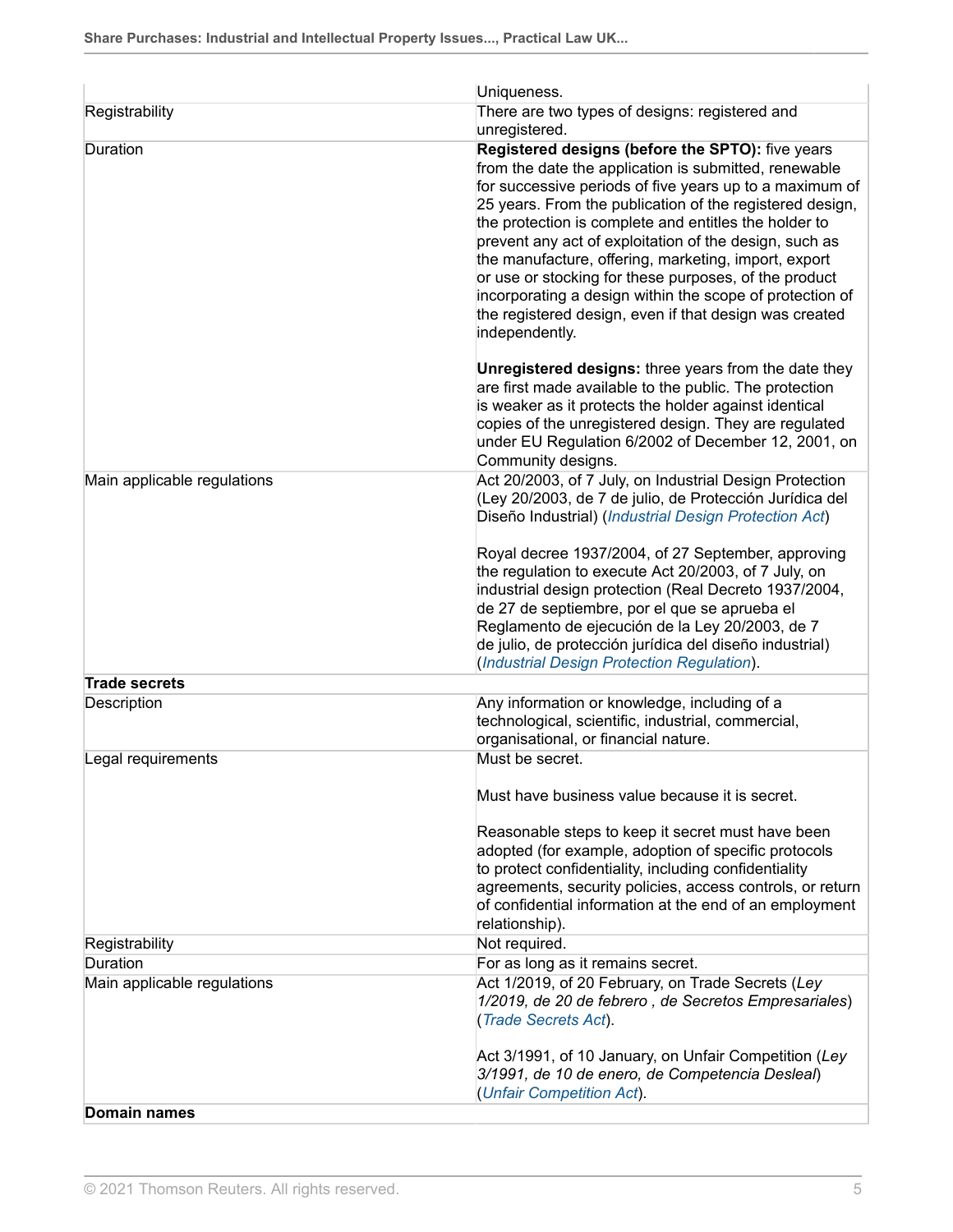|                             | Uniqueness.                                                                                                                                                                                                                                                                                                                                                                                                                                                                                                                                                                                                                                                                                                                                                                                                                                                                                                    |  |
|-----------------------------|----------------------------------------------------------------------------------------------------------------------------------------------------------------------------------------------------------------------------------------------------------------------------------------------------------------------------------------------------------------------------------------------------------------------------------------------------------------------------------------------------------------------------------------------------------------------------------------------------------------------------------------------------------------------------------------------------------------------------------------------------------------------------------------------------------------------------------------------------------------------------------------------------------------|--|
| Registrability              | There are two types of designs: registered and<br>unregistered.                                                                                                                                                                                                                                                                                                                                                                                                                                                                                                                                                                                                                                                                                                                                                                                                                                                |  |
| Duration                    | Registered designs (before the SPTO): five years<br>from the date the application is submitted, renewable<br>for successive periods of five years up to a maximum of<br>25 years. From the publication of the registered design,<br>the protection is complete and entitles the holder to<br>prevent any act of exploitation of the design, such as<br>the manufacture, offering, marketing, import, export<br>or use or stocking for these purposes, of the product<br>incorporating a design within the scope of protection of<br>the registered design, even if that design was created<br>independently.<br><b>Unregistered designs:</b> three years from the date they<br>are first made available to the public. The protection<br>is weaker as it protects the holder against identical<br>copies of the unregistered design. They are regulated<br>under EU Regulation 6/2002 of December 12, 2001, on |  |
|                             | Community designs.                                                                                                                                                                                                                                                                                                                                                                                                                                                                                                                                                                                                                                                                                                                                                                                                                                                                                             |  |
| Main applicable regulations | Act 20/2003, of 7 July, on Industrial Design Protection<br>(Ley 20/2003, de 7 de julio, de Protección Jurídica del<br>Diseño Industrial) (Industrial Design Protection Act)                                                                                                                                                                                                                                                                                                                                                                                                                                                                                                                                                                                                                                                                                                                                    |  |
|                             | Royal decree 1937/2004, of 27 September, approving<br>the regulation to execute Act 20/2003, of 7 July, on<br>industrial design protection (Real Decreto 1937/2004,<br>de 27 de septiembre, por el que se aprueba el<br>Reglamento de ejecución de la Ley 20/2003, de 7<br>de julio, de protección jurídica del diseño industrial)<br>(Industrial Design Protection Regulation).                                                                                                                                                                                                                                                                                                                                                                                                                                                                                                                               |  |
| <b>Trade secrets</b>        |                                                                                                                                                                                                                                                                                                                                                                                                                                                                                                                                                                                                                                                                                                                                                                                                                                                                                                                |  |
| Description                 | Any information or knowledge, including of a<br>technological, scientific, industrial, commercial,<br>organisational, or financial nature.                                                                                                                                                                                                                                                                                                                                                                                                                                                                                                                                                                                                                                                                                                                                                                     |  |
| Legal requirements          | Must be secret.                                                                                                                                                                                                                                                                                                                                                                                                                                                                                                                                                                                                                                                                                                                                                                                                                                                                                                |  |
|                             | Must have business value because it is secret.                                                                                                                                                                                                                                                                                                                                                                                                                                                                                                                                                                                                                                                                                                                                                                                                                                                                 |  |
|                             | Reasonable steps to keep it secret must have been<br>adopted (for example, adoption of specific protocols<br>to protect confidentiality, including confidentiality<br>agreements, security policies, access controls, or return<br>of confidential information at the end of an employment<br>relationship).                                                                                                                                                                                                                                                                                                                                                                                                                                                                                                                                                                                                   |  |
| Registrability              | Not required.                                                                                                                                                                                                                                                                                                                                                                                                                                                                                                                                                                                                                                                                                                                                                                                                                                                                                                  |  |
| Duration                    | For as long as it remains secret.                                                                                                                                                                                                                                                                                                                                                                                                                                                                                                                                                                                                                                                                                                                                                                                                                                                                              |  |
| Main applicable regulations | Act 1/2019, of 20 February, on Trade Secrets (Ley<br>1/2019, de 20 de febrero, de Secretos Empresariales)<br>(Trade Secrets Act).                                                                                                                                                                                                                                                                                                                                                                                                                                                                                                                                                                                                                                                                                                                                                                              |  |
|                             | Act 3/1991, of 10 January, on Unfair Competition (Ley<br>3/1991, de 10 de enero, de Competencia Desleal)<br>(Unfair Competition Act).                                                                                                                                                                                                                                                                                                                                                                                                                                                                                                                                                                                                                                                                                                                                                                          |  |
| <b>Domain names</b>         |                                                                                                                                                                                                                                                                                                                                                                                                                                                                                                                                                                                                                                                                                                                                                                                                                                                                                                                |  |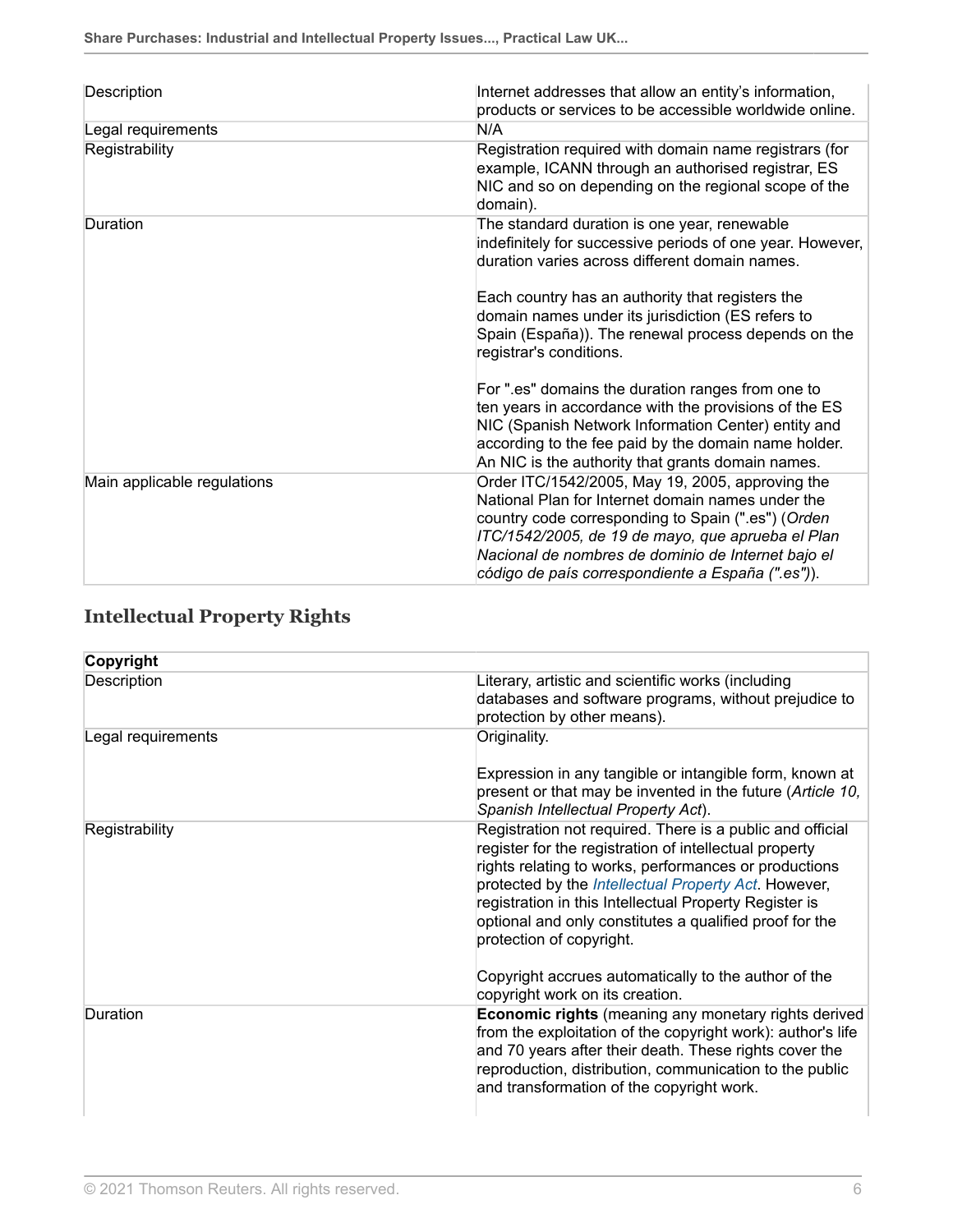| Description                 | Internet addresses that allow an entity's information,<br>products or services to be accessible worldwide online.                                                                                                                                                                                                           |  |
|-----------------------------|-----------------------------------------------------------------------------------------------------------------------------------------------------------------------------------------------------------------------------------------------------------------------------------------------------------------------------|--|
| Legal requirements          | N/A                                                                                                                                                                                                                                                                                                                         |  |
| Registrability              | Registration required with domain name registrars (for<br>example, ICANN through an authorised registrar, ES<br>NIC and so on depending on the regional scope of the<br>domain).                                                                                                                                            |  |
| Duration                    | The standard duration is one year, renewable<br>indefinitely for successive periods of one year. However,<br>duration varies across different domain names.                                                                                                                                                                 |  |
|                             | Each country has an authority that registers the<br>domain names under its jurisdiction (ES refers to<br>Spain (España)). The renewal process depends on the<br>registrar's conditions.                                                                                                                                     |  |
|                             | For ".es" domains the duration ranges from one to<br>ten years in accordance with the provisions of the ES<br>NIC (Spanish Network Information Center) entity and<br>according to the fee paid by the domain name holder.<br>An NIC is the authority that grants domain names.                                              |  |
| Main applicable regulations | Order ITC/1542/2005, May 19, 2005, approving the<br>National Plan for Internet domain names under the<br>country code corresponding to Spain (".es") (Orden<br>ITC/1542/2005, de 19 de mayo, que aprueba el Plan<br>Nacional de nombres de dominio de Internet bajo el<br>código de país correspondiente a España (".es")). |  |

## <span id="page-5-0"></span>**Intellectual Property Rights**

| Copyright          |                                                                                                                                                                                                                                                                                                                                                                                       |
|--------------------|---------------------------------------------------------------------------------------------------------------------------------------------------------------------------------------------------------------------------------------------------------------------------------------------------------------------------------------------------------------------------------------|
| Description        | Literary, artistic and scientific works (including<br>databases and software programs, without prejudice to<br>protection by other means).                                                                                                                                                                                                                                            |
| Legal requirements | Originality.<br>Expression in any tangible or intangible form, known at                                                                                                                                                                                                                                                                                                               |
|                    | present or that may be invented in the future (Article 10,<br>Spanish Intellectual Property Act).                                                                                                                                                                                                                                                                                     |
| Registrability     | Registration not required. There is a public and official<br>register for the registration of intellectual property<br>rights relating to works, performances or productions<br>protected by the Intellectual Property Act. However,<br>registration in this Intellectual Property Register is<br>optional and only constitutes a qualified proof for the<br>protection of copyright. |
|                    | Copyright accrues automatically to the author of the<br>copyright work on its creation.                                                                                                                                                                                                                                                                                               |
| Duration           | <b>Economic rights</b> (meaning any monetary rights derived<br>from the exploitation of the copyright work): author's life<br>and 70 years after their death. These rights cover the<br>reproduction, distribution, communication to the public<br>and transformation of the copyright work.                                                                                          |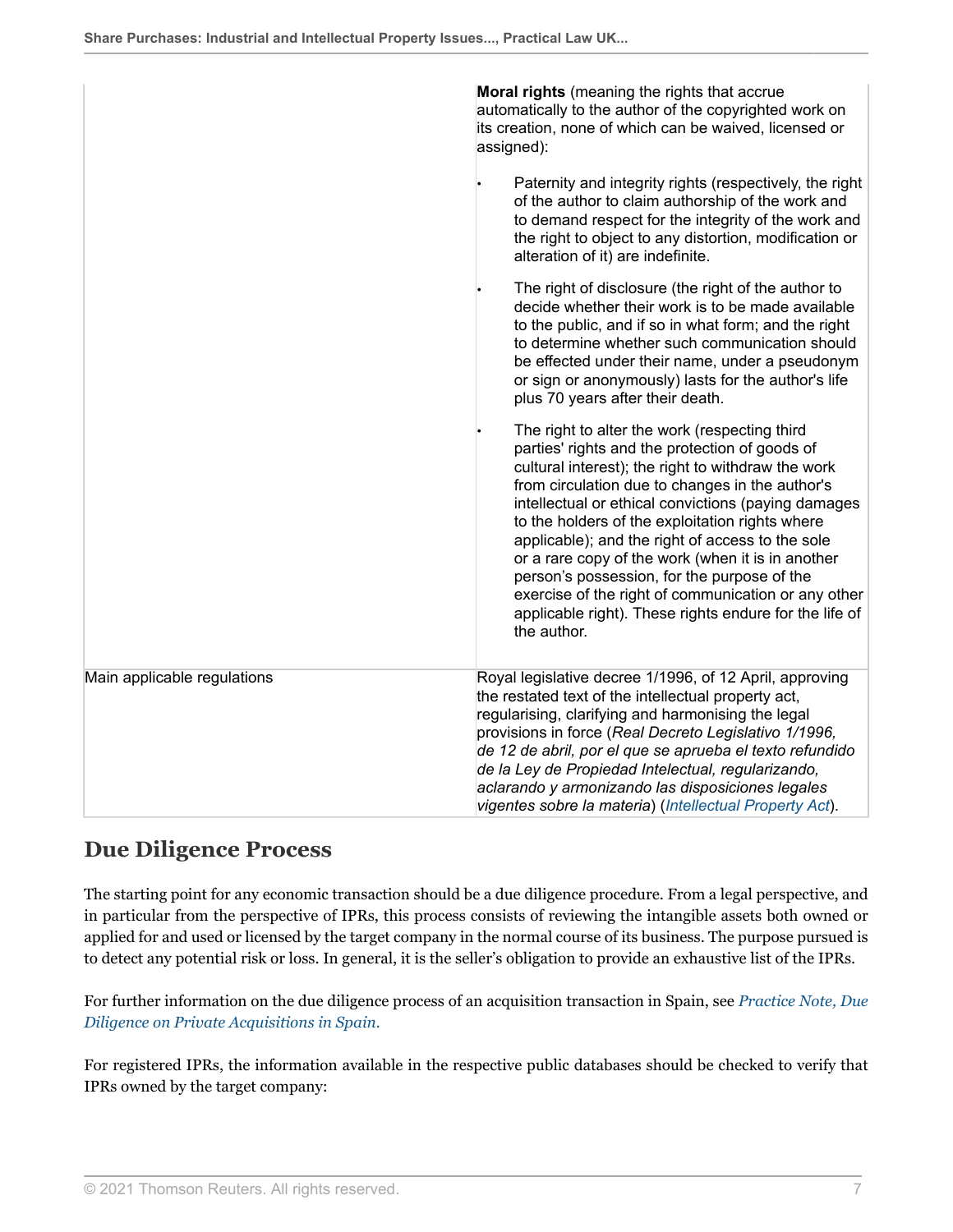|                             | Moral rights (meaning the rights that accrue<br>automatically to the author of the copyrighted work on<br>its creation, none of which can be waived, licensed or<br>assigned):<br>Paternity and integrity rights (respectively, the right<br>of the author to claim authorship of the work and                                                                                                                                                                                                                                                                                                             |  |
|-----------------------------|------------------------------------------------------------------------------------------------------------------------------------------------------------------------------------------------------------------------------------------------------------------------------------------------------------------------------------------------------------------------------------------------------------------------------------------------------------------------------------------------------------------------------------------------------------------------------------------------------------|--|
|                             | to demand respect for the integrity of the work and<br>the right to object to any distortion, modification or<br>alteration of it) are indefinite.                                                                                                                                                                                                                                                                                                                                                                                                                                                         |  |
|                             | The right of disclosure (the right of the author to<br>decide whether their work is to be made available<br>to the public, and if so in what form; and the right<br>to determine whether such communication should<br>be effected under their name, under a pseudonym<br>or sign or anonymously) lasts for the author's life<br>plus 70 years after their death.                                                                                                                                                                                                                                           |  |
|                             | The right to alter the work (respecting third<br>parties' rights and the protection of goods of<br>cultural interest); the right to withdraw the work<br>from circulation due to changes in the author's<br>intellectual or ethical convictions (paying damages<br>to the holders of the exploitation rights where<br>applicable); and the right of access to the sole<br>or a rare copy of the work (when it is in another<br>person's possession, for the purpose of the<br>exercise of the right of communication or any other<br>applicable right). These rights endure for the life of<br>the author. |  |
| Main applicable regulations | Royal legislative decree 1/1996, of 12 April, approving<br>the restated text of the intellectual property act,<br>regularising, clarifying and harmonising the legal<br>provisions in force (Real Decreto Legislativo 1/1996,<br>de 12 de abril, por el que se aprueba el texto refundido<br>de la Ley de Propiedad Intelectual, regularizando,<br>aclarando y armonizando las disposiciones legales<br>vigentes sobre la materia) (Intellectual Property Act).                                                                                                                                            |  |

## <span id="page-6-0"></span>**Due Diligence Process**

The starting point for any economic transaction should be a due diligence procedure. From a legal perspective, and in particular from the perspective of IPRs, this process consists of reviewing the intangible assets both owned or applied for and used or licensed by the target company in the normal course of its business. The purpose pursued is to detect any potential risk or loss. In general, it is the seller's obligation to provide an exhaustive list of the IPRs.

For further information on the due diligence process of an acquisition transaction in Spain, see *[Practice Note, Due](http://uk.practicallaw.thomsonreuters.com/w-028-2848?originationContext=document&vr=3.0&rs=PLUK1.0&transitionType=DocumentItem&contextData=(sc.Default)) [Diligence on Private Acquisitions in Spain.](http://uk.practicallaw.thomsonreuters.com/w-028-2848?originationContext=document&vr=3.0&rs=PLUK1.0&transitionType=DocumentItem&contextData=(sc.Default))*

For registered IPRs, the information available in the respective public databases should be checked to verify that IPRs owned by the target company: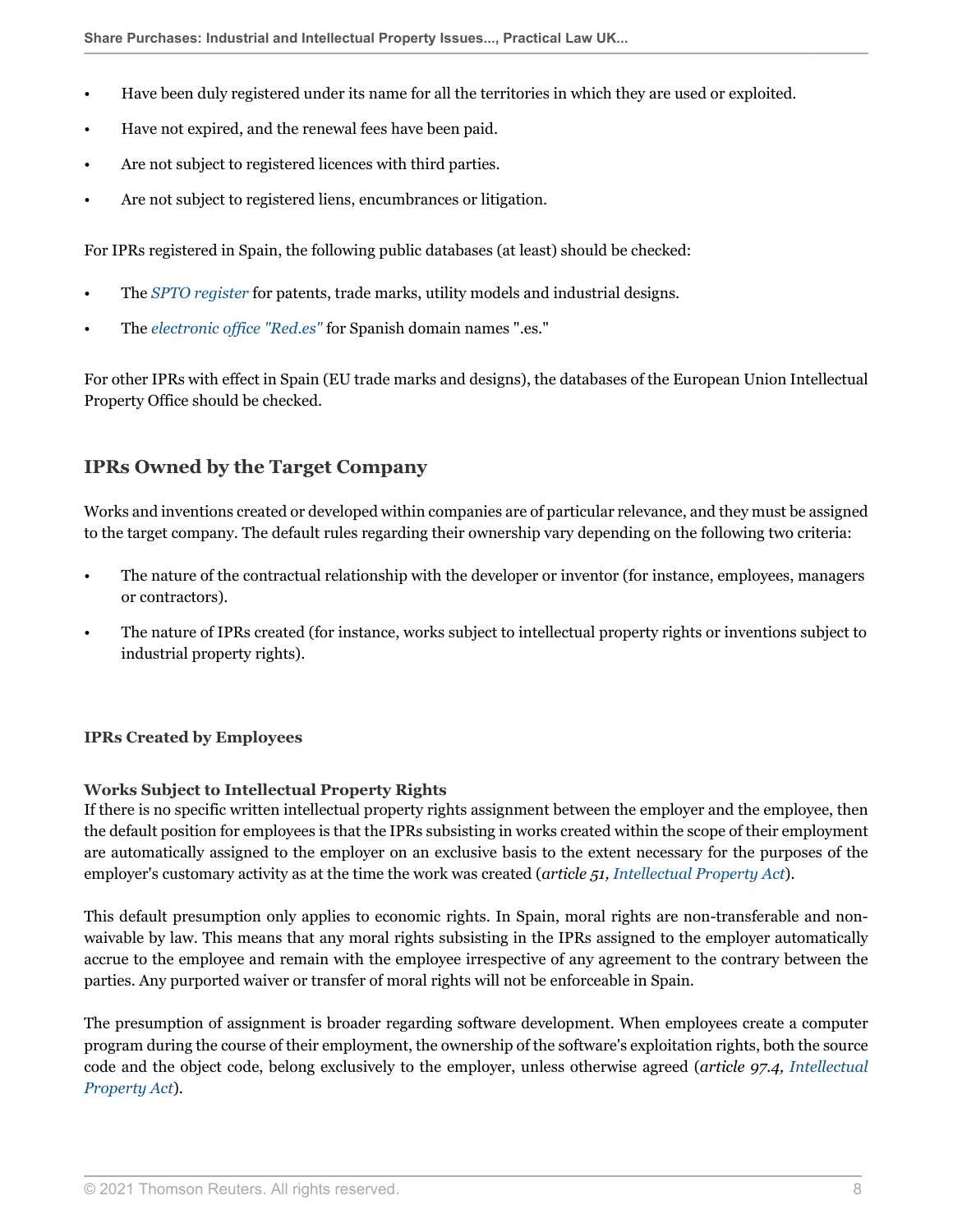- Have been duly registered under its name for all the territories in which they are used or exploited.
- Have not expired, and the renewal fees have been paid.
- Are not subject to registered licences with third parties.
- Are not subject to registered liens, encumbrances or litigation.

For IPRs registered in Spain, the following public databases (at least) should be checked:

- The *[SPTO register](https://www.oepm.es/es/Bases_de_Datos_Expedientes.html )* for patents, trade marks, utility models and industrial designs.
- The *[electronic office "Red.es"](https://www.dominios.es/ )* for Spanish domain names ".es."

For other IPRs with effect in Spain (EU trade marks and designs), the databases of the European Union Intellectual Property Office should be checked.

## <span id="page-7-0"></span>**IPRs Owned by the Target Company**

Works and inventions created or developed within companies are of particular relevance, and they must be assigned to the target company. The default rules regarding their ownership vary depending on the following two criteria:

- The nature of the contractual relationship with the developer or inventor (for instance, employees, managers or contractors).
- The nature of IPRs created (for instance, works subject to intellectual property rights or inventions subject to industrial property rights).

#### **IPRs Created by Employees**

#### **Works Subject to Intellectual Property Rights**

If there is no specific written intellectual property rights assignment between the employer and the employee, then the default position for employees is that the IPRs subsisting in works created within the scope of their employment are automatically assigned to the employer on an exclusive basis to the extent necessary for the purposes of the employer's customary activity as at the time the work was created (*article 51, [Intellectual Property Act](http://uk.practicallaw.thomsonreuters.com/w-032-0047?originationContext=document&vr=3.0&rs=PLUK1.0&transitionType=DocumentItem&contextData=(sc.Default))*).

This default presumption only applies to economic rights. In Spain, moral rights are non-transferable and nonwaivable by law. This means that any moral rights subsisting in the IPRs assigned to the employer automatically accrue to the employee and remain with the employee irrespective of any agreement to the contrary between the parties. Any purported waiver or transfer of moral rights will not be enforceable in Spain.

The presumption of assignment is broader regarding software development. When employees create a computer program during the course of their employment, the ownership of the software's exploitation rights, both the source code and the object code, belong exclusively to the employer, unless otherwise agreed (*article 97.4, [Intellectual](http://uk.practicallaw.thomsonreuters.com/w-032-0047?originationContext=document&vr=3.0&rs=PLUK1.0&transitionType=DocumentItem&contextData=(sc.Default)) [Property Act](http://uk.practicallaw.thomsonreuters.com/w-032-0047?originationContext=document&vr=3.0&rs=PLUK1.0&transitionType=DocumentItem&contextData=(sc.Default))*).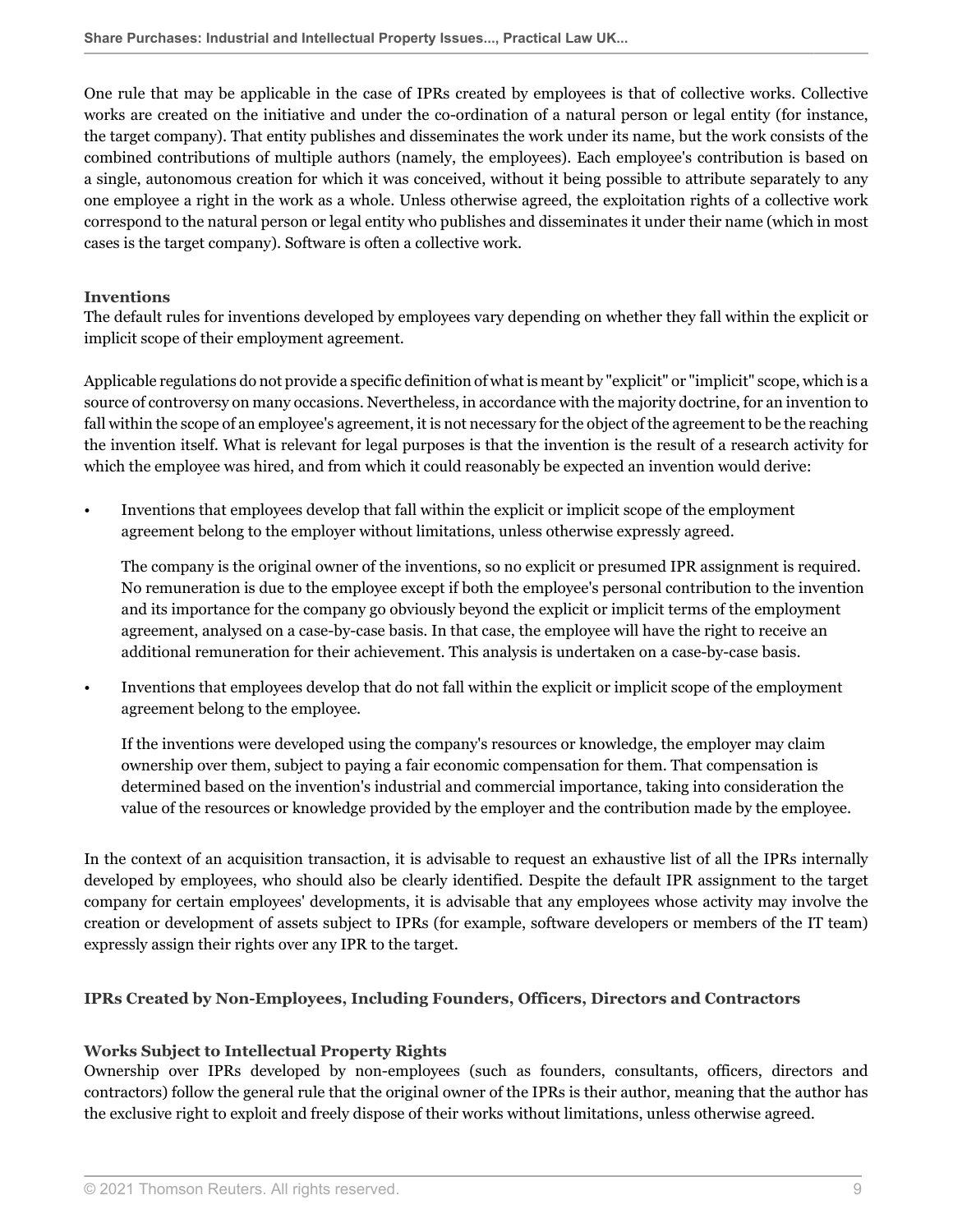One rule that may be applicable in the case of IPRs created by employees is that of collective works. Collective works are created on the initiative and under the co-ordination of a natural person or legal entity (for instance, the target company). That entity publishes and disseminates the work under its name, but the work consists of the combined contributions of multiple authors (namely, the employees). Each employee's contribution is based on a single, autonomous creation for which it was conceived, without it being possible to attribute separately to any one employee a right in the work as a whole. Unless otherwise agreed, the exploitation rights of a collective work correspond to the natural person or legal entity who publishes and disseminates it under their name (which in most cases is the target company). Software is often a collective work.

#### **Inventions**

The default rules for inventions developed by employees vary depending on whether they fall within the explicit or implicit scope of their employment agreement.

Applicable regulations do not provide a specific definition of what is meant by "explicit" or "implicit" scope, which is a source of controversy on many occasions. Nevertheless, in accordance with the majority doctrine, for an invention to fall within the scope of an employee's agreement, it is not necessary for the object of the agreement to be the reaching the invention itself. What is relevant for legal purposes is that the invention is the result of a research activity for which the employee was hired, and from which it could reasonably be expected an invention would derive:

• Inventions that employees develop that fall within the explicit or implicit scope of the employment agreement belong to the employer without limitations, unless otherwise expressly agreed.

The company is the original owner of the inventions, so no explicit or presumed IPR assignment is required. No remuneration is due to the employee except if both the employee's personal contribution to the invention and its importance for the company go obviously beyond the explicit or implicit terms of the employment agreement, analysed on a case-by-case basis. In that case, the employee will have the right to receive an additional remuneration for their achievement. This analysis is undertaken on a case-by-case basis.

• Inventions that employees develop that do not fall within the explicit or implicit scope of the employment agreement belong to the employee.

If the inventions were developed using the company's resources or knowledge, the employer may claim ownership over them, subject to paying a fair economic compensation for them. That compensation is determined based on the invention's industrial and commercial importance, taking into consideration the value of the resources or knowledge provided by the employer and the contribution made by the employee.

In the context of an acquisition transaction, it is advisable to request an exhaustive list of all the IPRs internally developed by employees, who should also be clearly identified. Despite the default IPR assignment to the target company for certain employees' developments, it is advisable that any employees whose activity may involve the creation or development of assets subject to IPRs (for example, software developers or members of the IT team) expressly assign their rights over any IPR to the target.

#### **IPRs Created by Non-Employees, Including Founders, Officers, Directors and Contractors**

#### **Works Subject to Intellectual Property Rights**

Ownership over IPRs developed by non-employees (such as founders, consultants, officers, directors and contractors) follow the general rule that the original owner of the IPRs is their author, meaning that the author has the exclusive right to exploit and freely dispose of their works without limitations, unless otherwise agreed.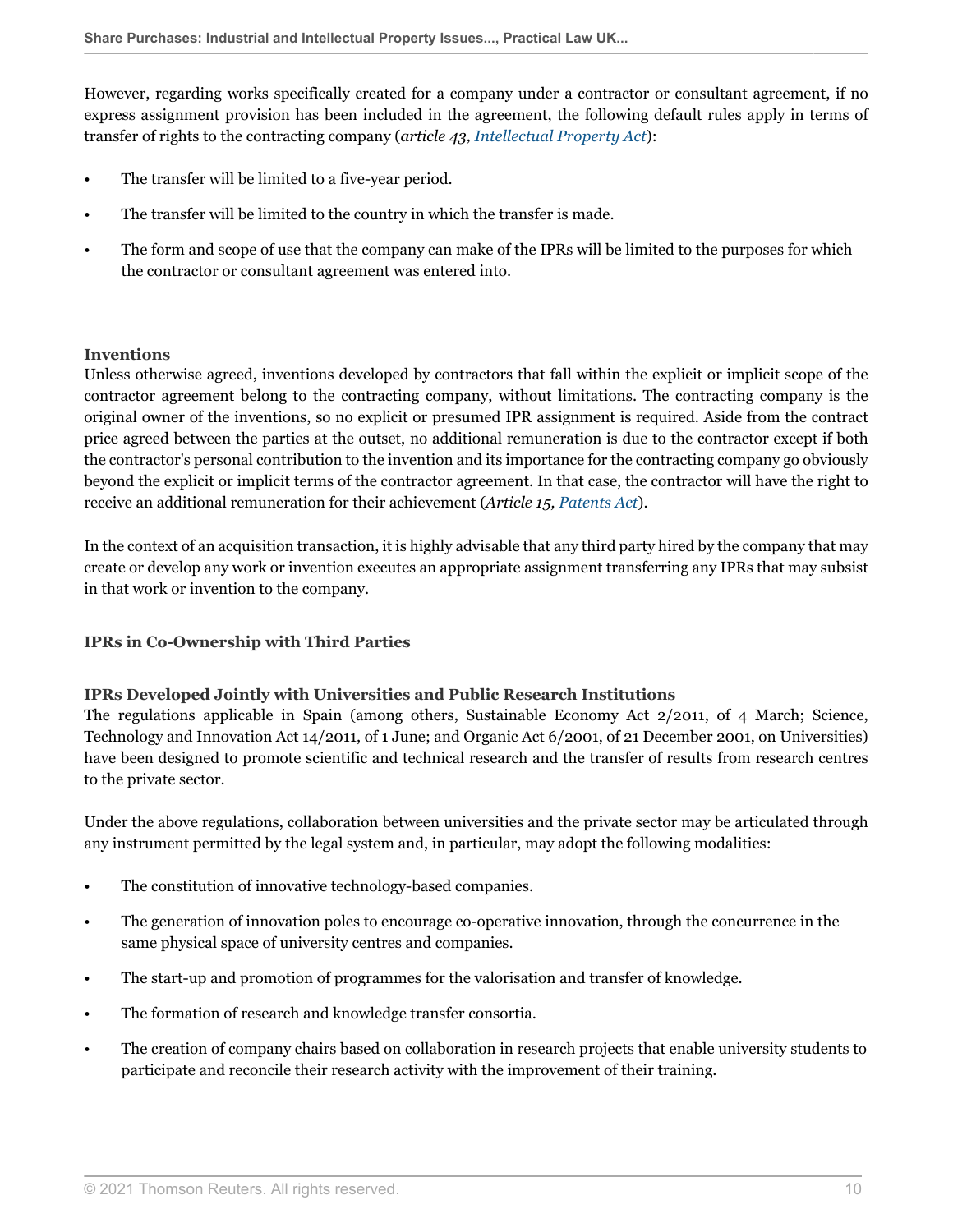However, regarding works specifically created for a company under a contractor or consultant agreement, if no express assignment provision has been included in the agreement, the following default rules apply in terms of transfer of rights to the contracting company (*article 43, [Intellectual Property Act](http://uk.practicallaw.thomsonreuters.com/w-032-0047?originationContext=document&vr=3.0&rs=PLUK1.0&transitionType=DocumentItem&contextData=(sc.Default))*):

- The transfer will be limited to a five-year period.
- The transfer will be limited to the country in which the transfer is made.
- The form and scope of use that the company can make of the IPRs will be limited to the purposes for which the contractor or consultant agreement was entered into.

#### **Inventions**

Unless otherwise agreed, inventions developed by contractors that fall within the explicit or implicit scope of the contractor agreement belong to the contracting company, without limitations. The contracting company is the original owner of the inventions, so no explicit or presumed IPR assignment is required. Aside from the contract price agreed between the parties at the outset, no additional remuneration is due to the contractor except if both the contractor's personal contribution to the invention and its importance for the contracting company go obviously beyond the explicit or implicit terms of the contractor agreement. In that case, the contractor will have the right to receive an additional remuneration for their achievement (*Article 15, [Patents Act](http://uk.practicallaw.thomsonreuters.com/w-032-0006?originationContext=document&vr=3.0&rs=PLUK1.0&transitionType=DocumentItem&contextData=(sc.Default))*).

In the context of an acquisition transaction, it is highly advisable that any third party hired by the company that may create or develop any work or invention executes an appropriate assignment transferring any IPRs that may subsist in that work or invention to the company.

#### **IPRs in Co-Ownership with Third Parties**

#### **IPRs Developed Jointly with Universities and Public Research Institutions**

The regulations applicable in Spain (among others, Sustainable Economy Act 2/2011, of 4 March; Science, Technology and Innovation Act 14/2011, of 1 June; and Organic Act 6/2001, of 21 December 2001, on Universities) have been designed to promote scientific and technical research and the transfer of results from research centres to the private sector.

Under the above regulations, collaboration between universities and the private sector may be articulated through any instrument permitted by the legal system and, in particular, may adopt the following modalities:

- The constitution of innovative technology-based companies.
- The generation of innovation poles to encourage co-operative innovation, through the concurrence in the same physical space of university centres and companies.
- The start-up and promotion of programmes for the valorisation and transfer of knowledge.
- The formation of research and knowledge transfer consortia.
- The creation of company chairs based on collaboration in research projects that enable university students to participate and reconcile their research activity with the improvement of their training.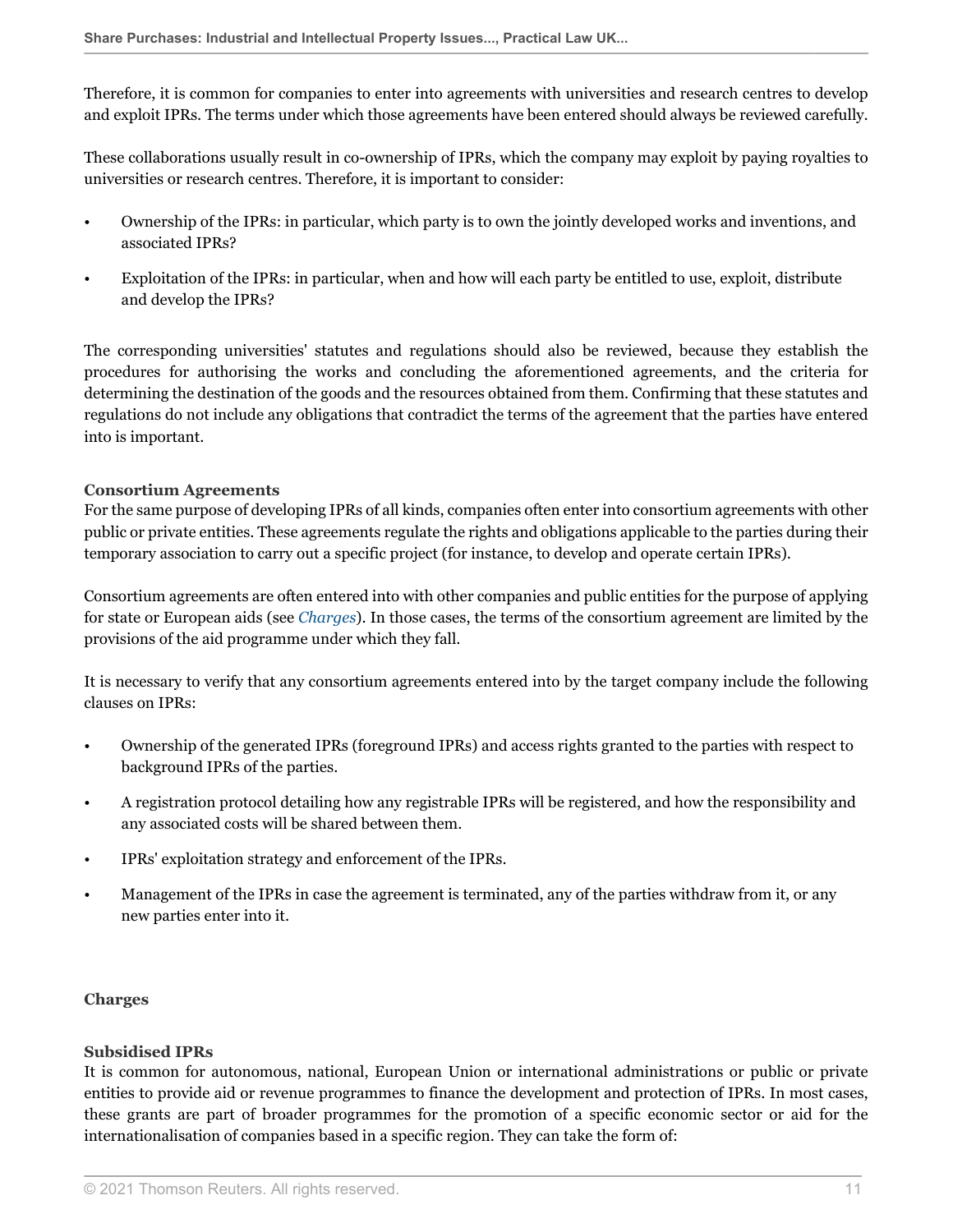Therefore, it is common for companies to enter into agreements with universities and research centres to develop and exploit IPRs. The terms under which those agreements have been entered should always be reviewed carefully.

These collaborations usually result in co-ownership of IPRs, which the company may exploit by paying royalties to universities or research centres. Therefore, it is important to consider:

- Ownership of the IPRs: in particular, which party is to own the jointly developed works and inventions, and associated IPRs?
- Exploitation of the IPRs: in particular, when and how will each party be entitled to use, exploit, distribute and develop the IPRs?

The corresponding universities' statutes and regulations should also be reviewed, because they establish the procedures for authorising the works and concluding the aforementioned agreements, and the criteria for determining the destination of the goods and the resources obtained from them. Confirming that these statutes and regulations do not include any obligations that contradict the terms of the agreement that the parties have entered into is important.

#### **Consortium Agreements**

For the same purpose of developing IPRs of all kinds, companies often enter into consortium agreements with other public or private entities. These agreements regulate the rights and obligations applicable to the parties during their temporary association to carry out a specific project (for instance, to develop and operate certain IPRs).

Consortium agreements are often entered into with other companies and public entities for the purpose of applying for state or European aids (see *[Charges](#page-10-0)*). In those cases, the terms of the consortium agreement are limited by the provisions of the aid programme under which they fall.

It is necessary to verify that any consortium agreements entered into by the target company include the following clauses on IPRs:

- Ownership of the generated IPRs (foreground IPRs) and access rights granted to the parties with respect to background IPRs of the parties.
- A registration protocol detailing how any registrable IPRs will be registered, and how the responsibility and any associated costs will be shared between them.
- IPRs' exploitation strategy and enforcement of the IPRs.
- Management of the IPRs in case the agreement is terminated, any of the parties withdraw from it, or any new parties enter into it.

#### <span id="page-10-0"></span>**Charges**

#### **Subsidised IPRs**

It is common for autonomous, national, European Union or international administrations or public or private entities to provide aid or revenue programmes to finance the development and protection of IPRs. In most cases, these grants are part of broader programmes for the promotion of a specific economic sector or aid for the internationalisation of companies based in a specific region. They can take the form of: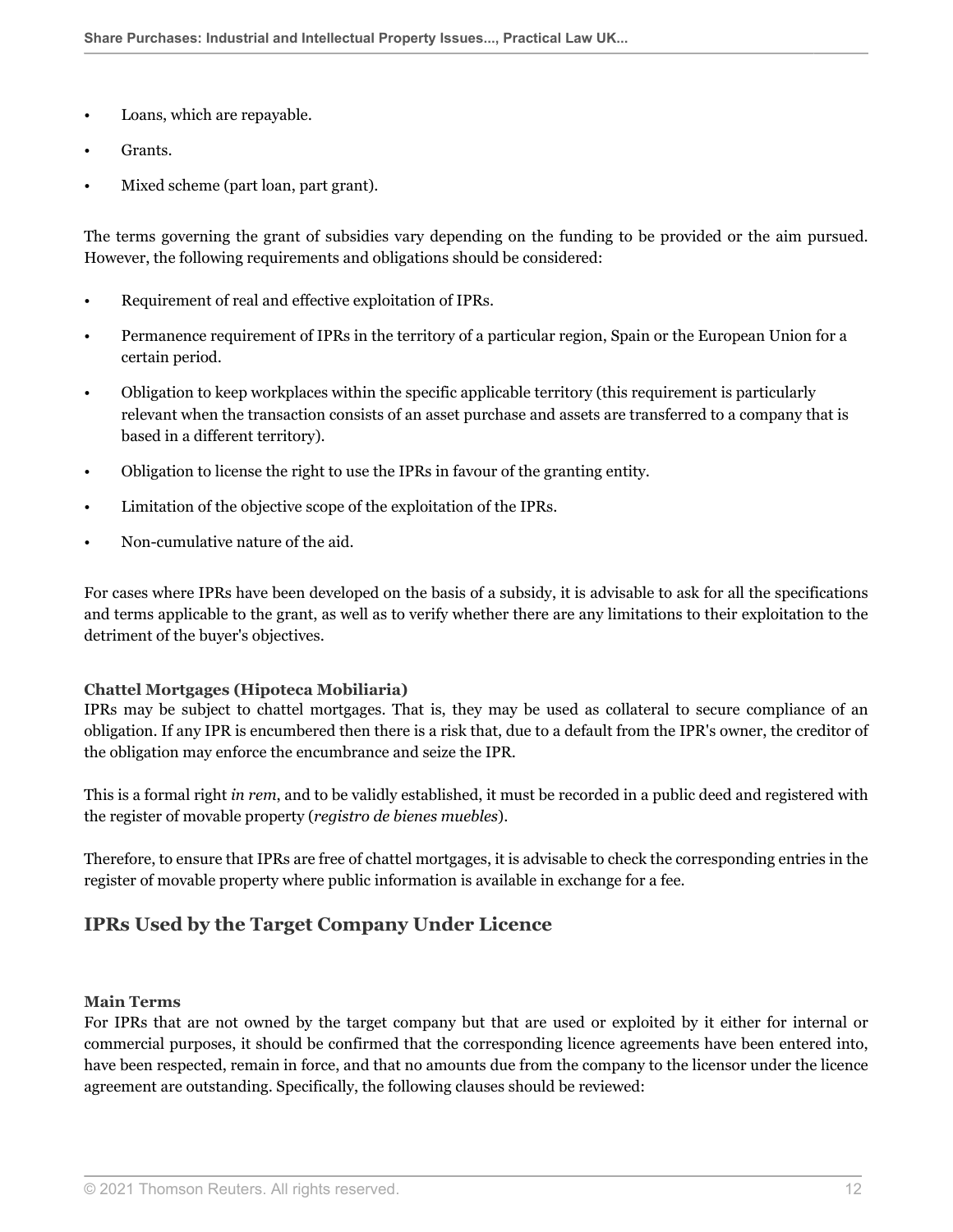- Loans, which are repayable.
- Grants.
- Mixed scheme (part loan, part grant).

The terms governing the grant of subsidies vary depending on the funding to be provided or the aim pursued. However, the following requirements and obligations should be considered:

- Requirement of real and effective exploitation of IPRs.
- Permanence requirement of IPRs in the territory of a particular region, Spain or the European Union for a certain period.
- Obligation to keep workplaces within the specific applicable territory (this requirement is particularly relevant when the transaction consists of an asset purchase and assets are transferred to a company that is based in a different territory).
- Obligation to license the right to use the IPRs in favour of the granting entity.
- Limitation of the objective scope of the exploitation of the IPRs.
- Non-cumulative nature of the aid.

For cases where IPRs have been developed on the basis of a subsidy, it is advisable to ask for all the specifications and terms applicable to the grant, as well as to verify whether there are any limitations to their exploitation to the detriment of the buyer's objectives.

#### **Chattel Mortgages (Hipoteca Mobiliaria)**

IPRs may be subject to chattel mortgages. That is, they may be used as collateral to secure compliance of an obligation. If any IPR is encumbered then there is a risk that, due to a default from the IPR's owner, the creditor of the obligation may enforce the encumbrance and seize the IPR.

This is a formal right *in rem*, and to be validly established, it must be recorded in a public deed and registered with the register of movable property (*registro de bienes muebles*).

Therefore, to ensure that IPRs are free of chattel mortgages, it is advisable to check the corresponding entries in the register of movable property where public information is available in exchange for a fee.

### <span id="page-11-0"></span>**IPRs Used by the Target Company Under Licence**

#### **Main Terms**

For IPRs that are not owned by the target company but that are used or exploited by it either for internal or commercial purposes, it should be confirmed that the corresponding licence agreements have been entered into, have been respected, remain in force, and that no amounts due from the company to the licensor under the licence agreement are outstanding. Specifically, the following clauses should be reviewed: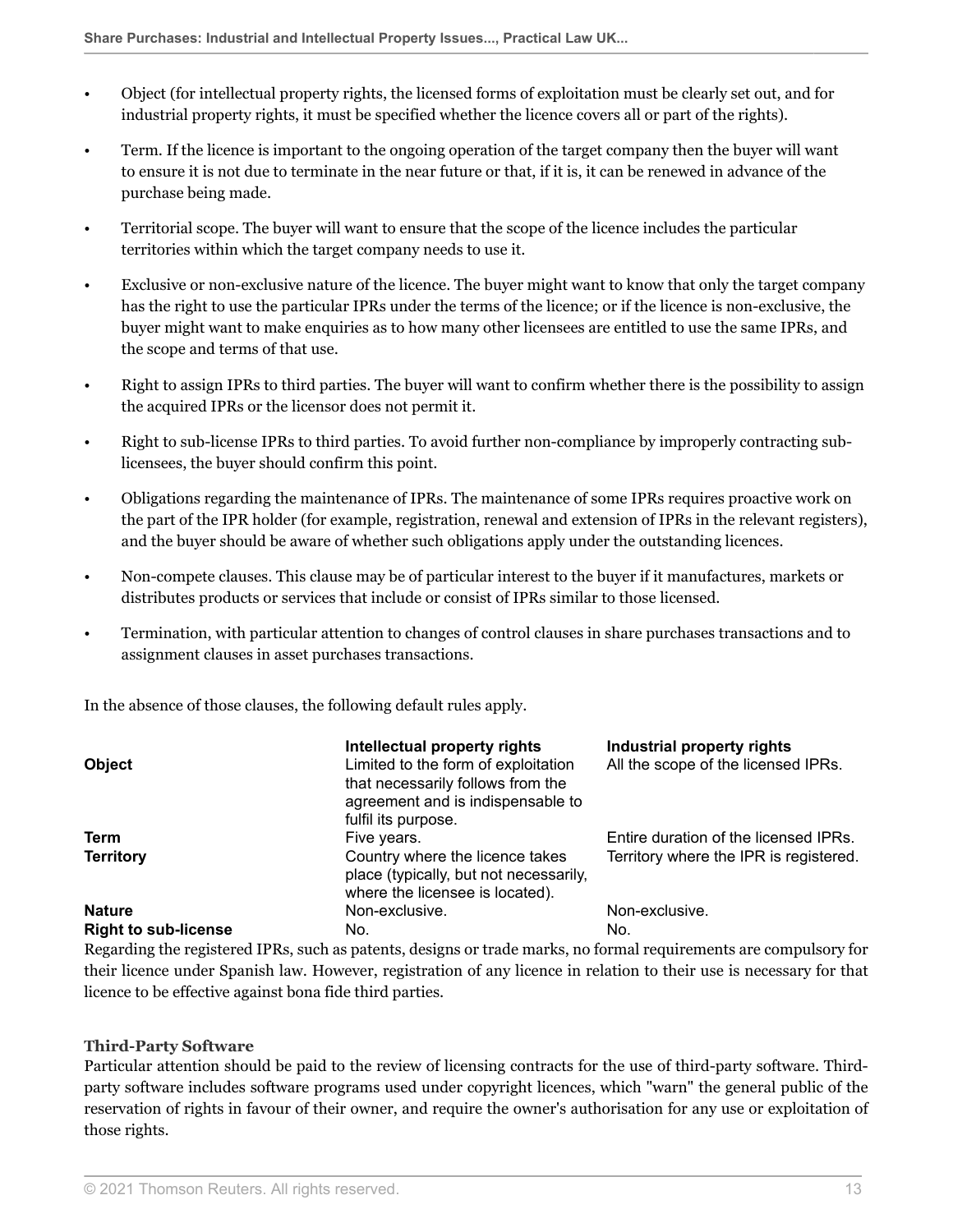- Object (for intellectual property rights, the licensed forms of exploitation must be clearly set out, and for industrial property rights, it must be specified whether the licence covers all or part of the rights).
- Term. If the licence is important to the ongoing operation of the target company then the buyer will want to ensure it is not due to terminate in the near future or that, if it is, it can be renewed in advance of the purchase being made.
- Territorial scope. The buyer will want to ensure that the scope of the licence includes the particular territories within which the target company needs to use it.
- Exclusive or non-exclusive nature of the licence. The buyer might want to know that only the target company has the right to use the particular IPRs under the terms of the licence; or if the licence is non-exclusive, the buyer might want to make enquiries as to how many other licensees are entitled to use the same IPRs, and the scope and terms of that use.
- Right to assign IPRs to third parties. The buyer will want to confirm whether there is the possibility to assign the acquired IPRs or the licensor does not permit it.
- Right to sub-license IPRs to third parties. To avoid further non-compliance by improperly contracting sublicensees, the buyer should confirm this point.
- Obligations regarding the maintenance of IPRs. The maintenance of some IPRs requires proactive work on the part of the IPR holder (for example, registration, renewal and extension of IPRs in the relevant registers), and the buyer should be aware of whether such obligations apply under the outstanding licences.
- Non-compete clauses. This clause may be of particular interest to the buyer if it manufactures, markets or distributes products or services that include or consist of IPRs similar to those licensed.
- Termination, with particular attention to changes of control clauses in share purchases transactions and to assignment clauses in asset purchases transactions.

In the absence of those clauses, the following default rules apply.

| <b>Object</b>               | Intellectual property rights<br>Limited to the form of exploitation<br>that necessarily follows from the<br>agreement and is indispensable to<br>fulfil its purpose. | Industrial property rights<br>All the scope of the licensed IPRs. |
|-----------------------------|----------------------------------------------------------------------------------------------------------------------------------------------------------------------|-------------------------------------------------------------------|
| Term                        | Five years.                                                                                                                                                          | Entire duration of the licensed IPRs.                             |
| <b>Territory</b>            | Country where the licence takes<br>place (typically, but not necessarily,<br>where the licensee is located).                                                         | Territory where the IPR is registered.                            |
| <b>Nature</b>               | Non-exclusive.                                                                                                                                                       | Non-exclusive.                                                    |
| <b>Right to sub-license</b> | No.                                                                                                                                                                  | No.                                                               |

Regarding the registered IPRs, such as patents, designs or trade marks, no formal requirements are compulsory for their licence under Spanish law. However, registration of any licence in relation to their use is necessary for that licence to be effective against bona fide third parties.

#### **Third-Party Software**

Particular attention should be paid to the review of licensing contracts for the use of third-party software. Thirdparty software includes software programs used under copyright licences, which "warn" the general public of the reservation of rights in favour of their owner, and require the owner's authorisation for any use or exploitation of those rights.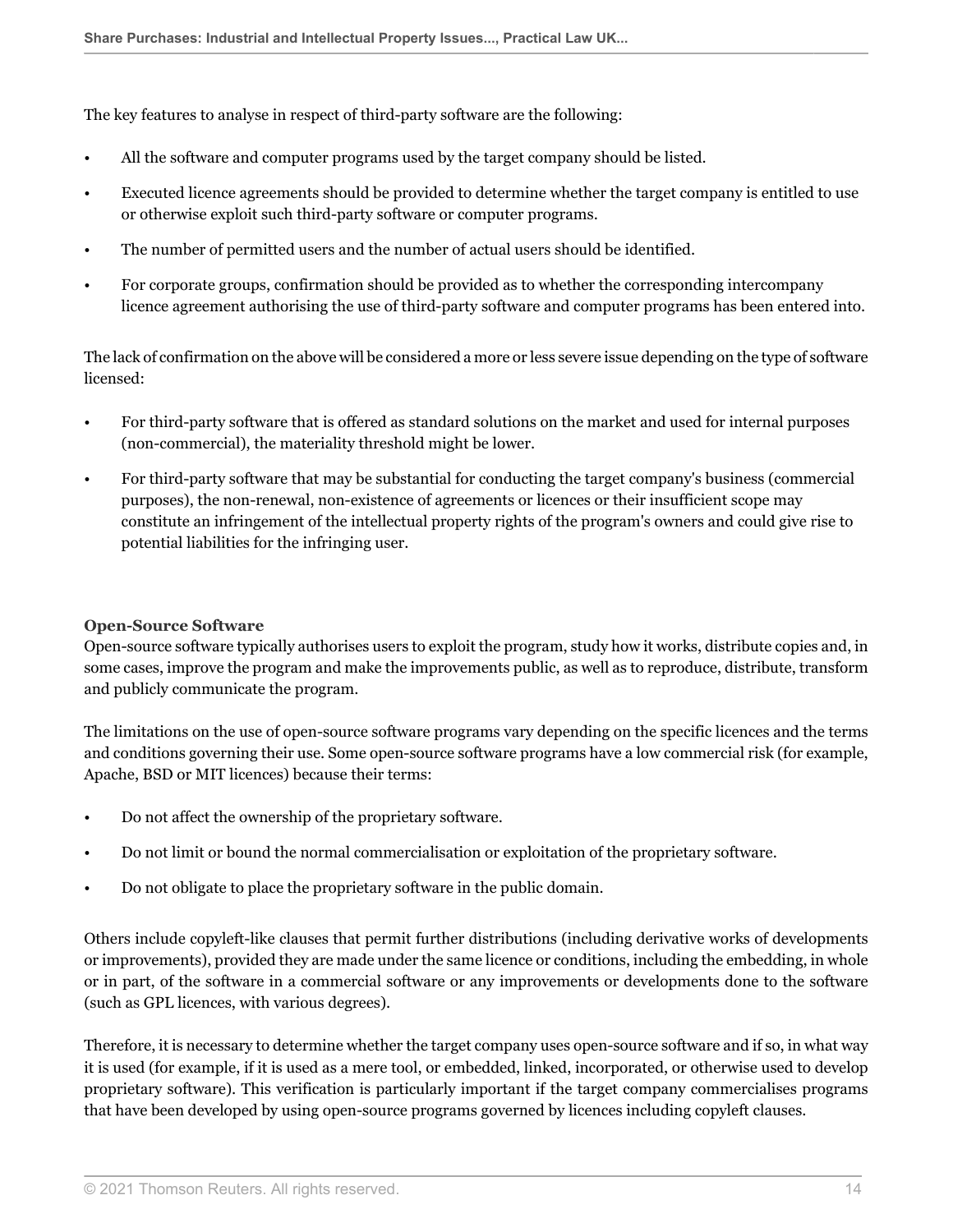The key features to analyse in respect of third-party software are the following:

- All the software and computer programs used by the target company should be listed.
- Executed licence agreements should be provided to determine whether the target company is entitled to use or otherwise exploit such third-party software or computer programs.
- The number of permitted users and the number of actual users should be identified.
- For corporate groups, confirmation should be provided as to whether the corresponding intercompany licence agreement authorising the use of third-party software and computer programs has been entered into.

The lack of confirmation on the above will be considered a more or less severe issue depending on the type of software licensed:

- For third-party software that is offered as standard solutions on the market and used for internal purposes (non-commercial), the materiality threshold might be lower.
- For third-party software that may be substantial for conducting the target company's business (commercial purposes), the non-renewal, non-existence of agreements or licences or their insufficient scope may constitute an infringement of the intellectual property rights of the program's owners and could give rise to potential liabilities for the infringing user.

#### **Open-Source Software**

Open-source software typically authorises users to exploit the program, study how it works, distribute copies and, in some cases, improve the program and make the improvements public, as well as to reproduce, distribute, transform and publicly communicate the program.

The limitations on the use of open-source software programs vary depending on the specific licences and the terms and conditions governing their use. Some open-source software programs have a low commercial risk (for example, Apache, BSD or MIT licences) because their terms:

- Do not affect the ownership of the proprietary software.
- Do not limit or bound the normal commercialisation or exploitation of the proprietary software.
- Do not obligate to place the proprietary software in the public domain.

Others include copyleft-like clauses that permit further distributions (including derivative works of developments or improvements), provided they are made under the same licence or conditions, including the embedding, in whole or in part, of the software in a commercial software or any improvements or developments done to the software (such as GPL licences, with various degrees).

Therefore, it is necessary to determine whether the target company uses open-source software and if so, in what way it is used (for example, if it is used as a mere tool, or embedded, linked, incorporated, or otherwise used to develop proprietary software). This verification is particularly important if the target company commercialises programs that have been developed by using open-source programs governed by licences including copyleft clauses.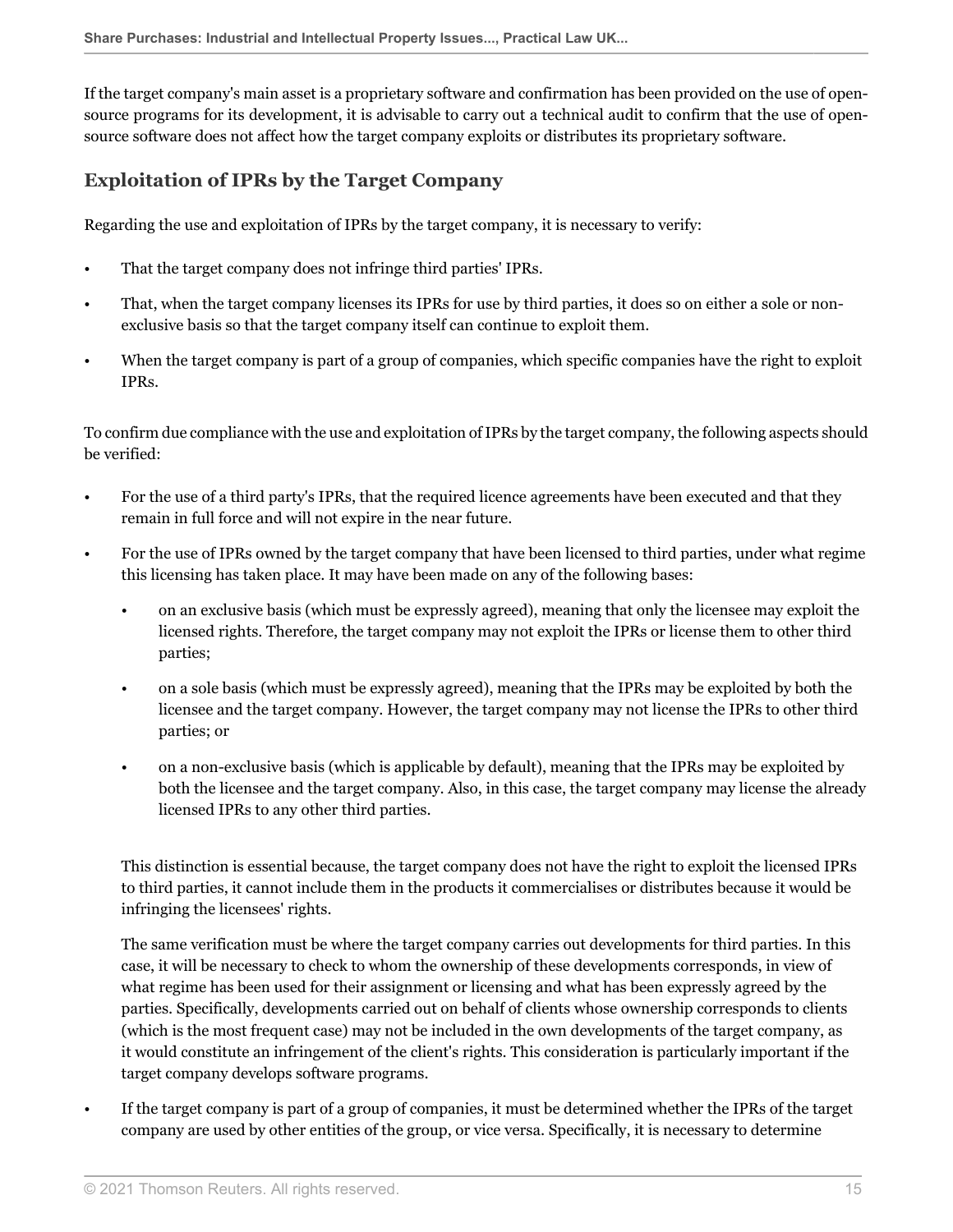If the target company's main asset is a proprietary software and confirmation has been provided on the use of opensource programs for its development, it is advisable to carry out a technical audit to confirm that the use of opensource software does not affect how the target company exploits or distributes its proprietary software.

## <span id="page-14-0"></span>**Exploitation of IPRs by the Target Company**

Regarding the use and exploitation of IPRs by the target company, it is necessary to verify:

- That the target company does not infringe third parties' IPRs.
- That, when the target company licenses its IPRs for use by third parties, it does so on either a sole or nonexclusive basis so that the target company itself can continue to exploit them.
- When the target company is part of a group of companies, which specific companies have the right to exploit IPRs.

To confirm due compliance with the use and exploitation of IPRs by the target company, the following aspects should be verified:

- For the use of a third party's IPRs, that the required licence agreements have been executed and that they remain in full force and will not expire in the near future.
- For the use of IPRs owned by the target company that have been licensed to third parties, under what regime this licensing has taken place. It may have been made on any of the following bases:
	- on an exclusive basis (which must be expressly agreed), meaning that only the licensee may exploit the licensed rights. Therefore, the target company may not exploit the IPRs or license them to other third parties;
	- on a sole basis (which must be expressly agreed), meaning that the IPRs may be exploited by both the licensee and the target company. However, the target company may not license the IPRs to other third parties; or
	- on a non-exclusive basis (which is applicable by default), meaning that the IPRs may be exploited by both the licensee and the target company. Also, in this case, the target company may license the already licensed IPRs to any other third parties.

This distinction is essential because, the target company does not have the right to exploit the licensed IPRs to third parties, it cannot include them in the products it commercialises or distributes because it would be infringing the licensees' rights.

The same verification must be where the target company carries out developments for third parties. In this case, it will be necessary to check to whom the ownership of these developments corresponds, in view of what regime has been used for their assignment or licensing and what has been expressly agreed by the parties. Specifically, developments carried out on behalf of clients whose ownership corresponds to clients (which is the most frequent case) may not be included in the own developments of the target company, as it would constitute an infringement of the client's rights. This consideration is particularly important if the target company develops software programs.

• If the target company is part of a group of companies, it must be determined whether the IPRs of the target company are used by other entities of the group, or vice versa. Specifically, it is necessary to determine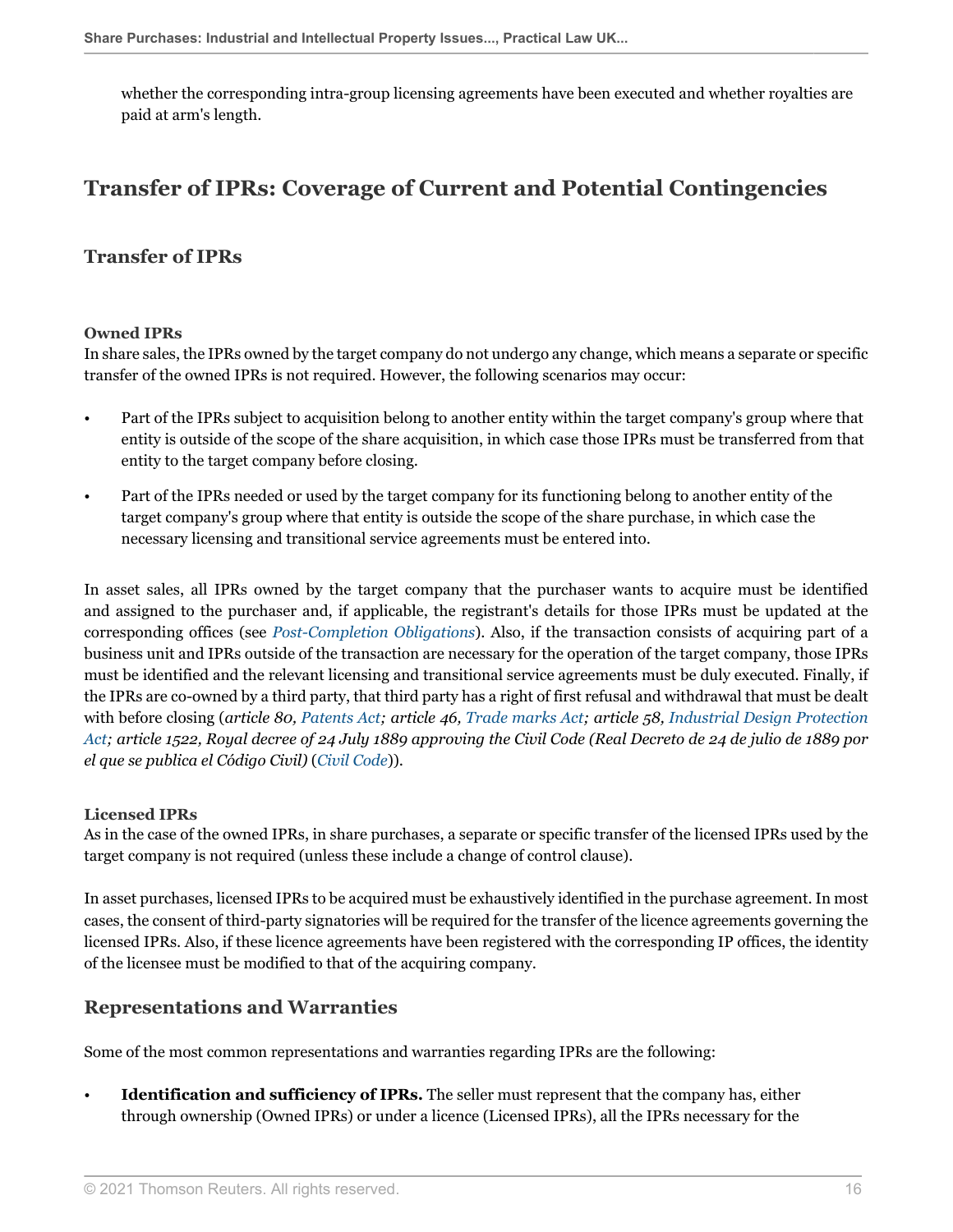whether the corresponding intra-group licensing agreements have been executed and whether royalties are paid at arm's length.

## <span id="page-15-0"></span>**Transfer of IPRs: Coverage of Current and Potential Contingencies**

### <span id="page-15-1"></span>**Transfer of IPRs**

#### **Owned IPRs**

In share sales, the IPRs owned by the target company do not undergo any change, which means a separate or specific transfer of the owned IPRs is not required. However, the following scenarios may occur:

- Part of the IPRs subject to acquisition belong to another entity within the target company's group where that entity is outside of the scope of the share acquisition, in which case those IPRs must be transferred from that entity to the target company before closing.
- Part of the IPRs needed or used by the target company for its functioning belong to another entity of the target company's group where that entity is outside the scope of the share purchase, in which case the necessary licensing and transitional service agreements must be entered into.

In asset sales, all IPRs owned by the target company that the purchaser wants to acquire must be identified and assigned to the purchaser and, if applicable, the registrant's details for those IPRs must be updated at the corresponding offices (see *[Post-Completion Obligations](#page-17-0)*). Also, if the transaction consists of acquiring part of a business unit and IPRs outside of the transaction are necessary for the operation of the target company, those IPRs must be identified and the relevant licensing and transitional service agreements must be duly executed. Finally, if the IPRs are co-owned by a third party, that third party has a right of first refusal and withdrawal that must be dealt with before closing (*article 80, [Patents Act;](http://uk.practicallaw.thomsonreuters.com/w-032-0006?originationContext=document&vr=3.0&rs=PLUK1.0&transitionType=DocumentItem&contextData=(sc.Default)) article 46, [Trade marks Act](http://uk.practicallaw.thomsonreuters.com/w-032-0021?originationContext=document&vr=3.0&rs=PLUK1.0&transitionType=DocumentItem&contextData=(sc.Default)); article 58, [Industrial Design Protection](http://uk.practicallaw.thomsonreuters.com/w-032-0030?originationContext=document&vr=3.0&rs=PLUK1.0&transitionType=DocumentItem&contextData=(sc.Default)) [Act;](http://uk.practicallaw.thomsonreuters.com/w-032-0030?originationContext=document&vr=3.0&rs=PLUK1.0&transitionType=DocumentItem&contextData=(sc.Default)) article 1522, Royal decree of 24 July 1889 approving the Civil Code (Real Decreto de 24 de julio de 1889 por el que se publica el Código Civil)* (*[Civil Code](http://uk.practicallaw.thomsonreuters.com/w-032-0050?originationContext=document&vr=3.0&rs=PLUK1.0&transitionType=DocumentItem&contextData=(sc.Default))*)).

#### **Licensed IPRs**

As in the case of the owned IPRs, in share purchases, a separate or specific transfer of the licensed IPRs used by the target company is not required (unless these include a change of control clause).

In asset purchases, licensed IPRs to be acquired must be exhaustively identified in the purchase agreement. In most cases, the consent of third-party signatories will be required for the transfer of the licence agreements governing the licensed IPRs. Also, if these licence agreements have been registered with the corresponding IP offices, the identity of the licensee must be modified to that of the acquiring company.

### <span id="page-15-2"></span>**Representations and Warranties**

Some of the most common representations and warranties regarding IPRs are the following:

• **Identification and sufficiency of IPRs.** The seller must represent that the company has, either through ownership (Owned IPRs) or under a licence (Licensed IPRs), all the IPRs necessary for the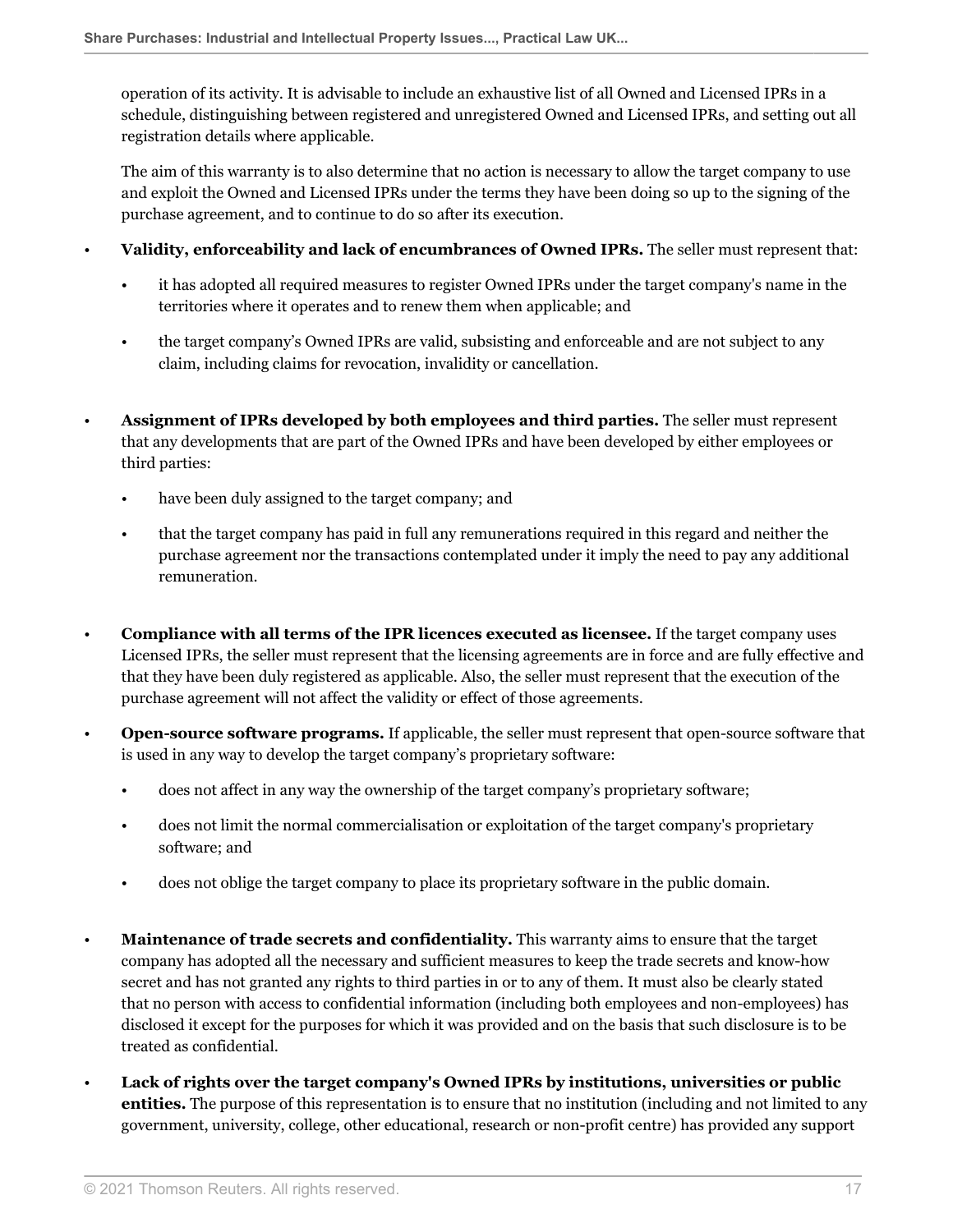operation of its activity. It is advisable to include an exhaustive list of all Owned and Licensed IPRs in a schedule, distinguishing between registered and unregistered Owned and Licensed IPRs, and setting out all registration details where applicable.

The aim of this warranty is to also determine that no action is necessary to allow the target company to use and exploit the Owned and Licensed IPRs under the terms they have been doing so up to the signing of the purchase agreement, and to continue to do so after its execution.

- **Validity, enforceability and lack of encumbrances of Owned IPRs.** The seller must represent that:
	- it has adopted all required measures to register Owned IPRs under the target company's name in the territories where it operates and to renew them when applicable; and
	- the target company's Owned IPRs are valid, subsisting and enforceable and are not subject to any claim, including claims for revocation, invalidity or cancellation.
- **Assignment of IPRs developed by both employees and third parties.** The seller must represent that any developments that are part of the Owned IPRs and have been developed by either employees or third parties:
	- have been duly assigned to the target company; and
	- that the target company has paid in full any remunerations required in this regard and neither the purchase agreement nor the transactions contemplated under it imply the need to pay any additional remuneration.
- **Compliance with all terms of the IPR licences executed as licensee.** If the target company uses Licensed IPRs, the seller must represent that the licensing agreements are in force and are fully effective and that they have been duly registered as applicable. Also, the seller must represent that the execution of the purchase agreement will not affect the validity or effect of those agreements.
- **Open-source software programs.** If applicable, the seller must represent that open-source software that is used in any way to develop the target company's proprietary software:
	- does not affect in any way the ownership of the target company's proprietary software;
	- does not limit the normal commercialisation or exploitation of the target company's proprietary software; and
	- does not oblige the target company to place its proprietary software in the public domain.
- **Maintenance of trade secrets and confidentiality.** This warranty aims to ensure that the target company has adopted all the necessary and sufficient measures to keep the trade secrets and know-how secret and has not granted any rights to third parties in or to any of them. It must also be clearly stated that no person with access to confidential information (including both employees and non-employees) has disclosed it except for the purposes for which it was provided and on the basis that such disclosure is to be treated as confidential.
- **Lack of rights over the target company's Owned IPRs by institutions, universities or public entities.** The purpose of this representation is to ensure that no institution (including and not limited to any government, university, college, other educational, research or non-profit centre) has provided any support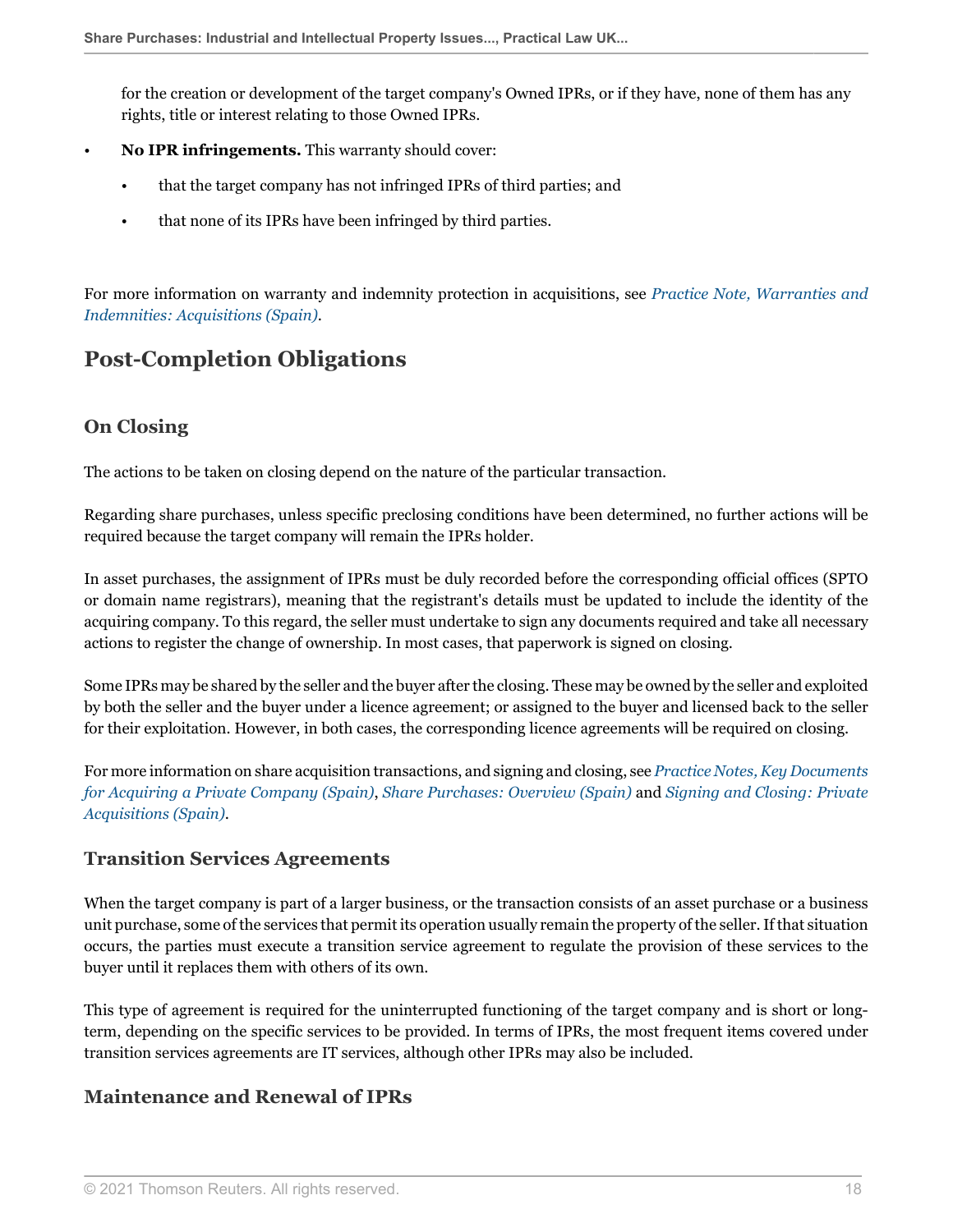for the creation or development of the target company's Owned IPRs, or if they have, none of them has any rights, title or interest relating to those Owned IPRs.

- **No IPR infringements.** This warranty should cover:
	- that the target company has not infringed IPRs of third parties; and
	- that none of its IPRs have been infringed by third parties.

For more information on warranty and indemnity protection in acquisitions, see *[Practice Note, Warranties and](http://uk.practicallaw.thomsonreuters.com/w-030-0752?originationContext=document&vr=3.0&rs=PLUK1.0&transitionType=DocumentItem&contextData=(sc.Default)) [Indemnities: Acquisitions \(Spain\)](http://uk.practicallaw.thomsonreuters.com/w-030-0752?originationContext=document&vr=3.0&rs=PLUK1.0&transitionType=DocumentItem&contextData=(sc.Default))*.

## <span id="page-17-0"></span>**Post-Completion Obligations**

## <span id="page-17-1"></span>**On Closing**

The actions to be taken on closing depend on the nature of the particular transaction.

Regarding share purchases, unless specific preclosing conditions have been determined, no further actions will be required because the target company will remain the IPRs holder.

In asset purchases, the assignment of IPRs must be duly recorded before the corresponding official offices (SPTO or domain name registrars), meaning that the registrant's details must be updated to include the identity of the acquiring company. To this regard, the seller must undertake to sign any documents required and take all necessary actions to register the change of ownership. In most cases, that paperwork is signed on closing.

Some IPRs may be shared by the seller and the buyer after the closing. These may be owned by the seller and exploited by both the seller and the buyer under a licence agreement; or assigned to the buyer and licensed back to the seller for their exploitation. However, in both cases, the corresponding licence agreements will be required on closing.

For more information on share acquisition transactions, and signing and closing, see *[Practice Notes, Key Documents](http://uk.practicallaw.thomsonreuters.com/w-027-2234?originationContext=document&vr=3.0&rs=PLUK1.0&transitionType=DocumentItem&contextData=(sc.Default)) [for Acquiring a Private Company \(Spain\)](http://uk.practicallaw.thomsonreuters.com/w-027-2234?originationContext=document&vr=3.0&rs=PLUK1.0&transitionType=DocumentItem&contextData=(sc.Default))*, *[Share Purchases: Overview \(Spain\)](http://uk.practicallaw.thomsonreuters.com/w-027-8649?originationContext=document&vr=3.0&rs=PLUK1.0&transitionType=DocumentItem&contextData=(sc.Default))* and *[Signing and Closing: Private](http://uk.practicallaw.thomsonreuters.com/w-026-5846?originationContext=document&vr=3.0&rs=PLUK1.0&transitionType=DocumentItem&contextData=(sc.Default)) [Acquisitions \(Spain\)](http://uk.practicallaw.thomsonreuters.com/w-026-5846?originationContext=document&vr=3.0&rs=PLUK1.0&transitionType=DocumentItem&contextData=(sc.Default))*.

### <span id="page-17-2"></span>**Transition Services Agreements**

When the target company is part of a larger business, or the transaction consists of an asset purchase or a business unit purchase, some of the services that permit its operation usually remain the property of the seller. If that situation occurs, the parties must execute a transition service agreement to regulate the provision of these services to the buyer until it replaces them with others of its own.

This type of agreement is required for the uninterrupted functioning of the target company and is short or longterm, depending on the specific services to be provided. In terms of IPRs, the most frequent items covered under transition services agreements are IT services, although other IPRs may also be included.

## <span id="page-17-3"></span>**Maintenance and Renewal of IPRs**